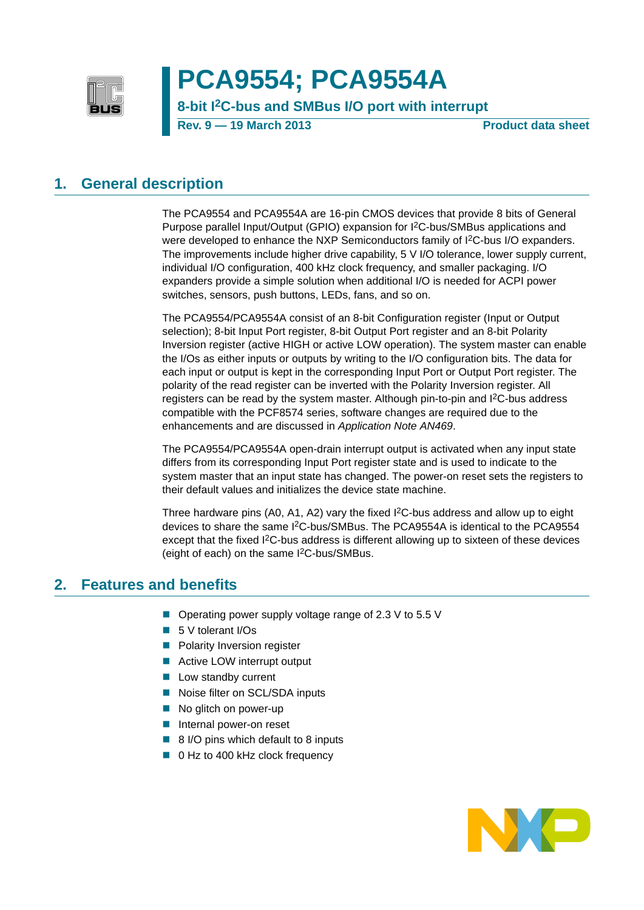

# **PCA9554; PCA9554A**

## **8-bit I2C-bus and SMBus I/O port with interrupt**

**Rev. 9 — 19 March 2013 Product data sheet**

### <span id="page-0-0"></span>**1. General description**

The PCA9554 and PCA9554A are 16-pin CMOS devices that provide 8 bits of General Purpose parallel Input/Output (GPIO) expansion for I2C-bus/SMBus applications and were developed to enhance the NXP Semiconductors family of I<sup>2</sup>C-bus I/O expanders. The improvements include higher drive capability, 5 V I/O tolerance, lower supply current, individual I/O configuration, 400 kHz clock frequency, and smaller packaging. I/O expanders provide a simple solution when additional I/O is needed for ACPI power switches, sensors, push buttons, LEDs, fans, and so on.

The PCA9554/PCA9554A consist of an 8-bit Configuration register (Input or Output selection); 8-bit Input Port register, 8-bit Output Port register and an 8-bit Polarity Inversion register (active HIGH or active LOW operation). The system master can enable the I/Os as either inputs or outputs by writing to the I/O configuration bits. The data for each input or output is kept in the corresponding Input Port or Output Port register. The polarity of the read register can be inverted with the Polarity Inversion register. All registers can be read by the system master. Although pin-to-pin and I2C-bus address compatible with the PCF8574 series, software changes are required due to the enhancements and are discussed in *Application Note AN469*.

The PCA9554/PCA9554A open-drain interrupt output is activated when any input state differs from its corresponding Input Port register state and is used to indicate to the system master that an input state has changed. The power-on reset sets the registers to their default values and initializes the device state machine.

Three hardware pins (A0, A1, A2) vary the fixed  $1<sup>2</sup>C$ -bus address and allow up to eight devices to share the same I2C-bus/SMBus. The PCA9554A is identical to the PCA9554 except that the fixed I<sup>2</sup>C-bus address is different allowing up to sixteen of these devices (eight of each) on the same I2C-bus/SMBus.

### <span id="page-0-1"></span>**2. Features and benefits**

- Operating power supply voltage range of 2.3 V to 5.5 V
- 5 V tolerant I/Os
- **Polarity Inversion register**
- Active LOW interrupt output
- **Low standby current**
- Noise filter on SCL/SDA inputs
- No glitch on power-up
- **Internal power-on reset**
- 8 I/O pins which default to 8 inputs
- 0 Hz to 400 kHz clock frequency

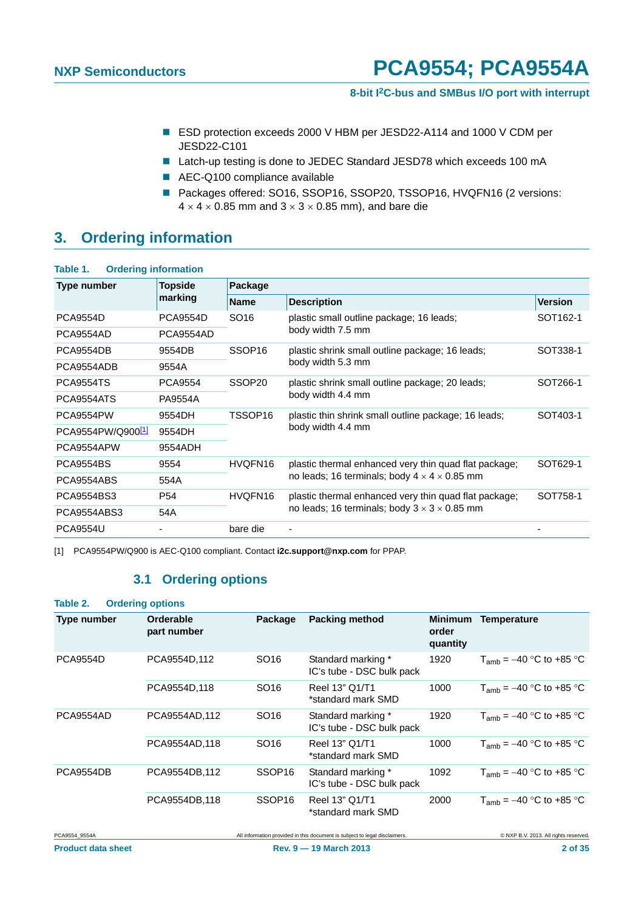#### **8-bit I2C-bus and SMBus I/O port with interrupt**

- ESD protection exceeds 2000 V HBM per JESD22-A114 and 1000 V CDM per JESD22-C101
- Latch-up testing is done to JEDEC Standard JESD78 which exceeds 100 mA
- AEC-Q100 compliance available
- Packages offered: SO16, SSOP16, SSOP20, TSSOP16, HVQFN16 (2 versions:  $4 \times 4 \times 0.85$  mm and  $3 \times 3 \times 0.85$  mm), and bare die

### <span id="page-1-2"></span>**3. Ordering information**

| Type number                   | <b>Topside</b>  | Package            |                                                          |                      |  |  |  |  |
|-------------------------------|-----------------|--------------------|----------------------------------------------------------|----------------------|--|--|--|--|
|                               | marking         | <b>Name</b>        | <b>Description</b>                                       | <b>Version</b>       |  |  |  |  |
| <b>PCA9554D</b>               | <b>PCA9554D</b> | SO <sub>16</sub>   | plastic small outline package; 16 leads;                 | SOT <sub>162-1</sub> |  |  |  |  |
| PCA9554AD                     | PCA9554AD       |                    | body width 7.5 mm                                        |                      |  |  |  |  |
| PCA9554DB                     | 9554DB          | SSOP <sub>16</sub> | plastic shrink small outline package; 16 leads;          |                      |  |  |  |  |
| PCA9554ADB                    | 9554A           |                    | body width 5.3 mm                                        |                      |  |  |  |  |
| <b>PCA9554TS</b>              | <b>PCA9554</b>  | SSOP <sub>20</sub> | plastic shrink small outline package; 20 leads;          |                      |  |  |  |  |
| PCA9554ATS                    | <b>PA9554A</b>  |                    | body width 4.4 mm                                        |                      |  |  |  |  |
| PCA9554PW                     | 9554DH          | TSSOP16            | plastic thin shrink small outline package; 16 leads;     | SOT403-1             |  |  |  |  |
| PCA9554PW/Q900 <sup>[1]</sup> | 9554DH          |                    | body width 4.4 mm                                        |                      |  |  |  |  |
| PCA9554APW                    | 9554ADH         |                    |                                                          |                      |  |  |  |  |
| <b>PCA9554BS</b>              | 9554            | HVQFN16            | plastic thermal enhanced very thin quad flat package;    | SOT629-1             |  |  |  |  |
| PCA9554ABS                    | 554A            |                    | no leads; 16 terminals; body $4 \times 4 \times 0.85$ mm |                      |  |  |  |  |
| PCA9554BS3                    | P <sub>54</sub> | HVQFN16            | plastic thermal enhanced very thin quad flat package;    | SOT758-1             |  |  |  |  |
| PCA9554ABS3                   | 54A             |                    | no leads; 16 terminals; body $3 \times 3 \times 0.85$ mm |                      |  |  |  |  |
| <b>PCA9554U</b>               |                 | bare die           |                                                          |                      |  |  |  |  |

<span id="page-1-1"></span><span id="page-1-0"></span>[1] PCA9554PW/Q900 is AEC-Q100 compliant. Contact **i2c.support@nxp.com** for PPAP.

### **3.1 Ordering options**

#### **Table 2. Ordering options**

| Type number      | Orderable<br>part number | Package            | <b>Packing method</b>                                                      | <b>Minimum</b><br>order<br>quantity | Temperature                           |
|------------------|--------------------------|--------------------|----------------------------------------------------------------------------|-------------------------------------|---------------------------------------|
| <b>PCA9554D</b>  | PCA9554D,112             | SO <sub>16</sub>   | Standard marking *<br>IC's tube - DSC bulk pack                            | 1920                                | $T_{amb}$ = -40 °C to +85 °C          |
|                  | PCA9554D.118             | SO16               | Reel 13" Q1/T1<br>*standard mark SMD                                       | 1000                                | $T_{amb}$ = -40 °C to +85 °C          |
| PCA9554AD        | PCA9554AD,112            | SO <sub>16</sub>   | Standard marking *<br>IC's tube - DSC bulk pack                            | 1920                                | $T_{amb}$ = -40 °C to +85 °C          |
|                  | PCA9554AD,118            | SO <sub>16</sub>   | Reel 13" Q1/T1<br>*standard mark SMD                                       | 1000                                | $T_{amb} = -40$ °C to +85 °C          |
| <b>PCA9554DB</b> | PCA9554DB,112            | SSOP <sub>16</sub> | Standard marking *<br>IC's tube - DSC bulk pack                            | 1092                                | $T_{amb} = -40$ °C to +85 °C          |
|                  | PCA9554DB,118            | SSOP <sub>16</sub> | Reel 13" Q1/T1<br>*standard mark SMD                                       | 2000                                | $T_{amb} = -40$ °C to +85 °C          |
| PCA9554 9554A    |                          |                    | All information provided in this document is subject to legal disclaimers. |                                     | © NXP B.V. 2013. All rights reserved. |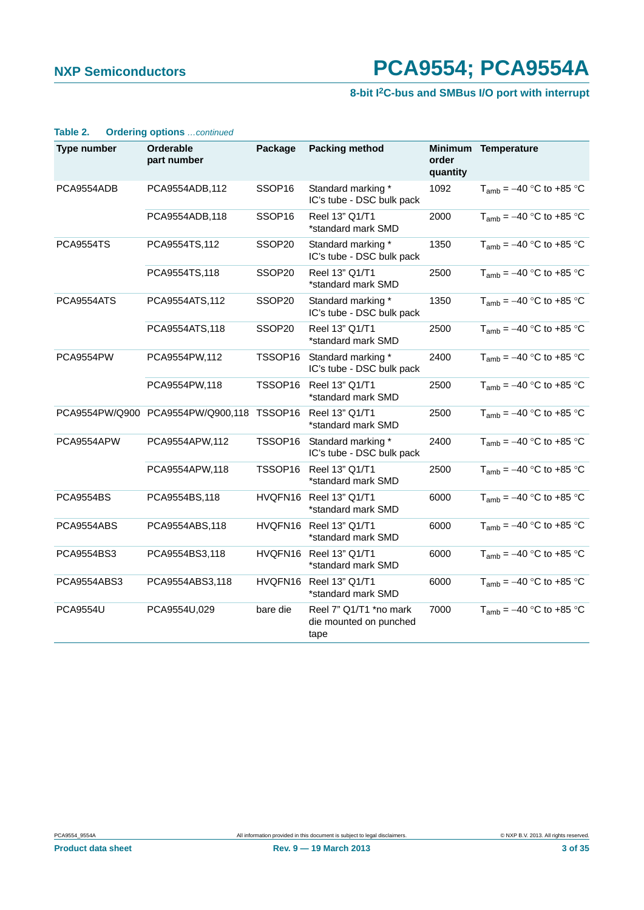### **8-bit I2C-bus and SMBus I/O port with interrupt**

| Type number      | <b>Orderable</b><br>part number           | Package            | <b>Packing method</b>                                    | order<br>quantity | Minimum Temperature          |
|------------------|-------------------------------------------|--------------------|----------------------------------------------------------|-------------------|------------------------------|
| PCA9554ADB       | PCA9554ADB,112                            | SSOP <sub>16</sub> | Standard marking *<br>IC's tube - DSC bulk pack          | 1092              | $T_{amb} = -40$ °C to +85 °C |
|                  | PCA9554ADB,118                            | SSOP <sub>16</sub> | Reel 13" Q1/T1<br>*standard mark SMD                     | 2000              | $T_{amb} = -40$ °C to +85 °C |
| <b>PCA9554TS</b> | PCA9554TS,112                             | SSOP20             | Standard marking *<br>IC's tube - DSC bulk pack          | 1350              | $T_{amb} = -40$ °C to +85 °C |
|                  | PCA9554TS,118                             | SSOP20             | Reel 13" Q1/T1<br>*standard mark SMD                     | 2500              | $T_{amb} = -40$ °C to +85 °C |
| PCA9554ATS       | PCA9554ATS, 112                           | SSOP20             | Standard marking *<br>IC's tube - DSC bulk pack          | 1350              | $T_{amb} = -40$ °C to +85 °C |
|                  | PCA9554ATS,118                            | SSOP20             | Reel 13" Q1/T1<br>*standard mark SMD                     | 2500              | $T_{amb} = -40$ °C to +85 °C |
| PCA9554PW        | PCA9554PW,112                             | TSSOP16            | Standard marking *<br>IC's tube - DSC bulk pack          | 2400              | $T_{amb} = -40$ °C to +85 °C |
|                  | PCA9554PW,118                             | TSSOP16            | Reel 13" Q1/T1<br>*standard mark SMD                     | 2500              | $T_{amb} = -40$ °C to +85 °C |
|                  | PCA9554PW/Q900 PCA9554PW/Q900,118 TSSOP16 |                    | Reel 13" Q1/T1<br>*standard mark SMD                     | 2500              | $T_{amb} = -40$ °C to +85 °C |
| PCA9554APW       | PCA9554APW,112                            | TSSOP16            | Standard marking *<br>IC's tube - DSC bulk pack          | 2400              | $T_{amb} = -40$ °C to +85 °C |
|                  | PCA9554APW,118                            | TSSOP16            | Reel 13" Q1/T1<br>*standard mark SMD                     | 2500              | $T_{amb} = -40$ °C to +85 °C |
| <b>PCA9554BS</b> | PCA9554BS,118                             |                    | HVQFN16 Reel 13" Q1/T1<br>*standard mark SMD             | 6000              | $T_{amb} = -40$ °C to +85 °C |
| PCA9554ABS       | PCA9554ABS,118                            | HVQFN16            | Reel 13" Q1/T1<br>*standard mark SMD                     | 6000              | $T_{amb} = -40$ °C to +85 °C |
| PCA9554BS3       | PCA9554BS3,118                            | HVQFN16            | Reel 13" Q1/T1<br>*standard mark SMD                     | 6000              | $T_{amb} = -40$ °C to +85 °C |
| PCA9554ABS3      | PCA9554ABS3,118                           |                    | HVQFN16 Reel 13" Q1/T1<br>*standard mark SMD             | 6000              | $T_{amb} = -40$ °C to +85 °C |
| <b>PCA9554U</b>  | PCA9554U,029                              | bare die           | Reel 7" Q1/T1 *no mark<br>die mounted on punched<br>tape | 7000              | $T_{amb} = -40$ °C to +85 °C |

#### **Table 2. Ordering options** *…continued*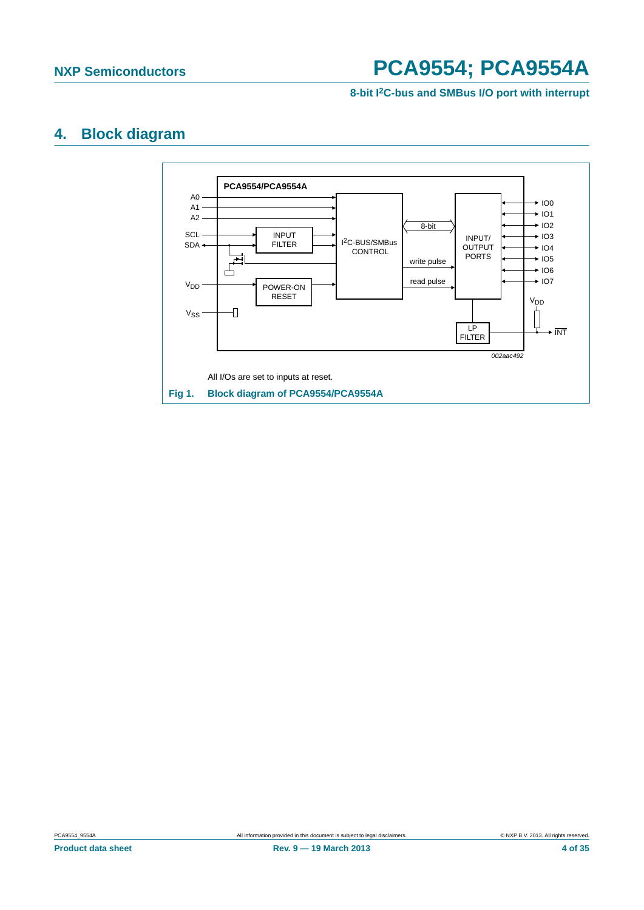

### <span id="page-3-1"></span>**4. Block diagram**

<span id="page-3-0"></span>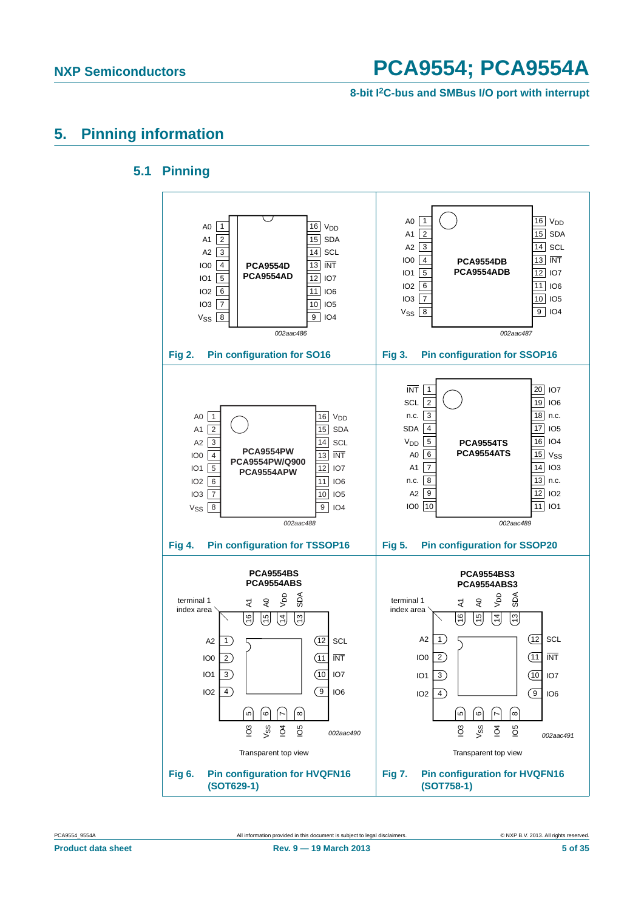**8-bit I2C-bus and SMBus I/O port with interrupt**

### <span id="page-4-1"></span><span id="page-4-0"></span>**5. Pinning information**

### **5.1 Pinning**

![](_page_4_Figure_5.jpeg)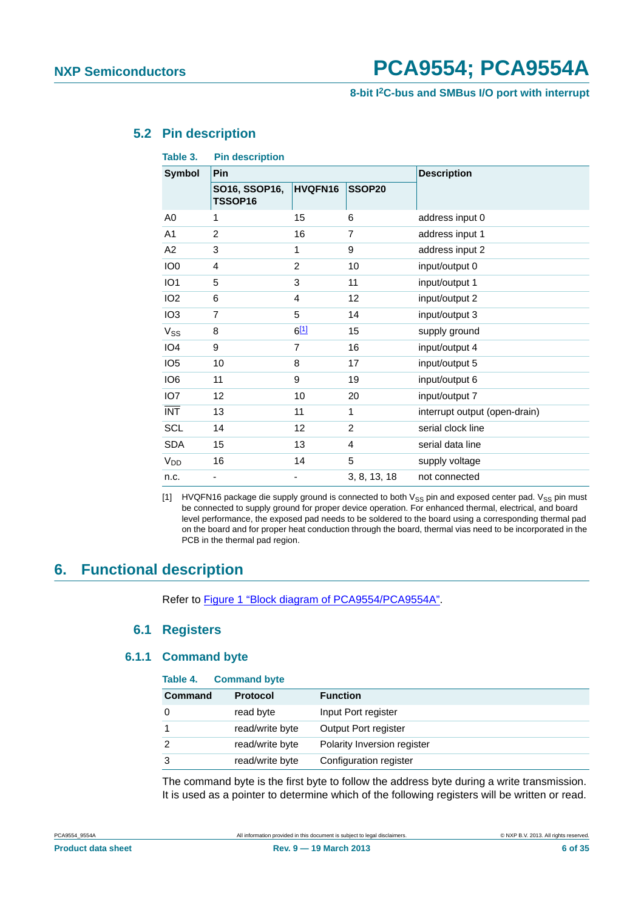**8-bit I2C-bus and SMBus I/O port with interrupt**

### <span id="page-5-1"></span>**5.2 Pin description**

| Table 3.        | <b>Pin description</b>   |                |                |                               |  |  |  |  |
|-----------------|--------------------------|----------------|----------------|-------------------------------|--|--|--|--|
| <b>Symbol</b>   | Pin                      |                |                | <b>Description</b>            |  |  |  |  |
|                 | SO16, SSOP16,<br>TSSOP16 | HVQFN16        | SSOP20         |                               |  |  |  |  |
| A0              | 1                        | 15             | 6              | address input 0               |  |  |  |  |
| A <sub>1</sub>  | $\overline{2}$           | 16             | $\overline{7}$ | address input 1               |  |  |  |  |
| A2              | 3                        | 1              | 9              | address input 2               |  |  |  |  |
| IO <sub>0</sub> | $\overline{4}$           | $\overline{2}$ | 10             | input/output 0                |  |  |  |  |
| IO <sub>1</sub> | 5                        | 3              | 11             | input/output 1                |  |  |  |  |
| IO <sub>2</sub> | 6                        | 4              | 12             | input/output 2                |  |  |  |  |
| IO <sub>3</sub> | $\overline{7}$           | 5              | 14             | input/output 3                |  |  |  |  |
| V <sub>SS</sub> | 8                        | 611            | 15             | supply ground                 |  |  |  |  |
| IO <sub>4</sub> | 9                        | 7              | 16             | input/output 4                |  |  |  |  |
| IO <sub>5</sub> | 10                       | 8              | 17             | input/output 5                |  |  |  |  |
| IO <sub>6</sub> | 11                       | 9              | 19             | input/output 6                |  |  |  |  |
| IO <sub>7</sub> | 12                       | 10             | 20             | input/output 7                |  |  |  |  |
| <b>INT</b>      | 13                       | 11             | 1              | interrupt output (open-drain) |  |  |  |  |
| <b>SCL</b>      | 14                       | 12             | 2              | serial clock line             |  |  |  |  |
| <b>SDA</b>      | 15                       | 13             | 4              | serial data line              |  |  |  |  |
| V <sub>DD</sub> | 16                       | 14             | 5              | supply voltage                |  |  |  |  |
| n.c.            |                          |                | 3, 8, 13, 18   | not connected                 |  |  |  |  |

<span id="page-5-0"></span>[1] HVQFN16 package die supply ground is connected to both  $V_{SS}$  pin and exposed center pad.  $V_{SS}$  pin must be connected to supply ground for proper device operation. For enhanced thermal, electrical, and board level performance, the exposed pad needs to be soldered to the board using a corresponding thermal pad on the board and for proper heat conduction through the board, thermal vias need to be incorporated in the PCB in the thermal pad region.

### <span id="page-5-3"></span><span id="page-5-2"></span>**6. Functional description**

Refer to [Figure 1 "Block diagram of PCA9554/PCA9554A".](#page-3-0)

#### **6.1 Registers**

#### <span id="page-5-4"></span>**6.1.1 Command byte**

| Table 4.       | <b>Command byte</b> |                             |
|----------------|---------------------|-----------------------------|
| <b>Command</b> | <b>Protocol</b>     | <b>Function</b>             |
|                | read byte           | Input Port register         |
|                | read/write byte     | Output Port register        |
|                | read/write byte     | Polarity Inversion register |
| 3              | read/write byte     | Configuration register      |

The command byte is the first byte to follow the address byte during a write transmission. It is used as a pointer to determine which of the following registers will be written or read.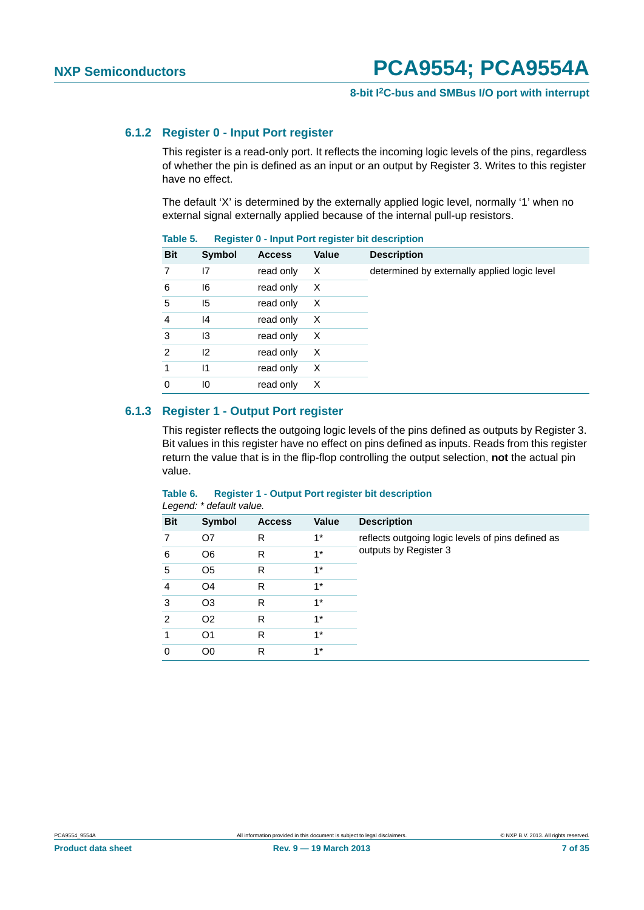#### <span id="page-6-0"></span>**6.1.2 Register 0 - Input Port register**

This register is a read-only port. It reflects the incoming logic levels of the pins, regardless of whether the pin is defined as an input or an output by Register 3. Writes to this register have no effect.

The default 'X' is determined by the externally applied logic level, normally '1' when no external signal externally applied because of the internal pull-up resistors.

| <b>Bit</b>     | <b>Symbol</b> | <b>Access</b> | Value | <b>Description</b>                           |
|----------------|---------------|---------------|-------|----------------------------------------------|
| 7              | 17            | read only     | X     | determined by externally applied logic level |
| 6              | 16            | read only     | X     |                                              |
| 5              | 15            | read only     | X     |                                              |
| 4              | 4             | read only     | X     |                                              |
| 3              | 13            | read only     | X     |                                              |
| $\overline{2}$ | 12            | read only     | Х     |                                              |
|                | $\mathsf{I}$  | read only     | X     |                                              |
| 0              | 10            | read only     | X     |                                              |

#### **Table 5. Register 0 - Input Port register bit description**

#### <span id="page-6-1"></span>**6.1.3 Register 1 - Output Port register**

This register reflects the outgoing logic levels of the pins defined as outputs by Register 3. Bit values in this register have no effect on pins defined as inputs. Reads from this register return the value that is in the flip-flop controlling the output selection, **not** the actual pin value.

| Logona. acidan value. |                |               |       |                                                   |  |  |  |  |
|-----------------------|----------------|---------------|-------|---------------------------------------------------|--|--|--|--|
| <b>Bit</b>            | Symbol         | <b>Access</b> | Value | <b>Description</b>                                |  |  |  |  |
| 7                     | O7             | R             | $1^*$ | reflects outgoing logic levels of pins defined as |  |  |  |  |
| 6                     | O <sub>6</sub> | R             | $1*$  | outputs by Register 3                             |  |  |  |  |
| 5                     | O <sub>5</sub> | R             | $1*$  |                                                   |  |  |  |  |
| 4                     | O <sub>4</sub> | R             | $1*$  |                                                   |  |  |  |  |
| 3                     | O <sub>3</sub> | R             | $1^*$ |                                                   |  |  |  |  |
| 2                     | O <sub>2</sub> | R             | $1*$  |                                                   |  |  |  |  |
|                       | O <sub>1</sub> | R             | $1*$  |                                                   |  |  |  |  |
| 0                     | O0             | R             | $1^*$ |                                                   |  |  |  |  |

#### **Table 6. Register 1 - Output Port register bit description** *Legend: \* default value.*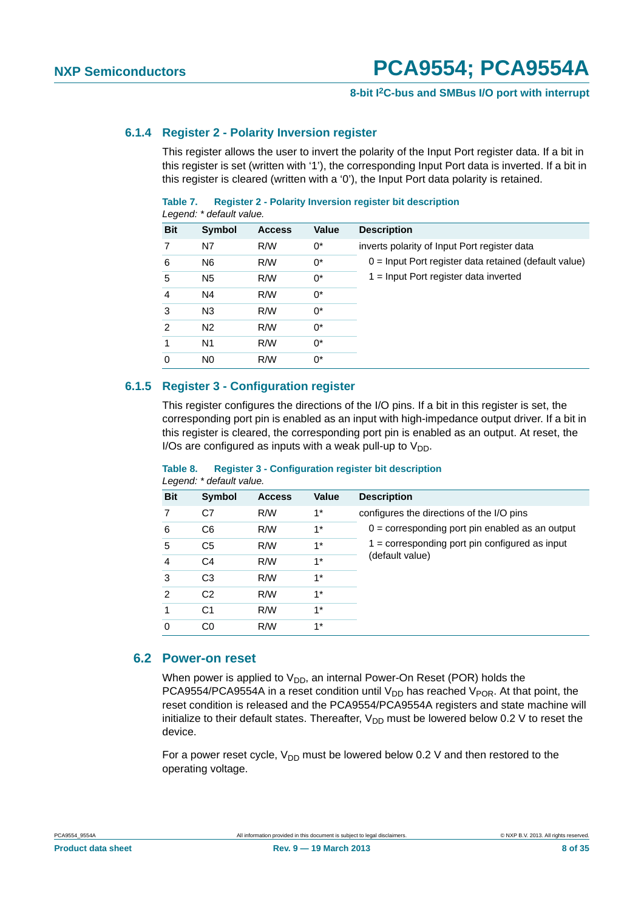#### **8-bit I2C-bus and SMBus I/O port with interrupt**

#### <span id="page-7-0"></span>**6.1.4 Register 2 - Polarity Inversion register**

This register allows the user to invert the polarity of the Input Port register data. If a bit in this register is set (written with '1'), the corresponding Input Port data is inverted. If a bit in this register is cleared (written with a '0'), the Input Port data polarity is retained.

#### **Table 7. Register 2 - Polarity Inversion register bit description** *Legend: \* default value.*

|                | Logona. acidan valac. |               |              |                                                         |
|----------------|-----------------------|---------------|--------------|---------------------------------------------------------|
| <b>Bit</b>     | <b>Symbol</b>         | <b>Access</b> | <b>Value</b> | <b>Description</b>                                      |
| 7              | N7                    | R/W           | 0*           | inverts polarity of Input Port register data            |
| 6              | N <sub>6</sub>        | R/W           | 0*           | $0 =$ Input Port register data retained (default value) |
| 5              | N <sub>5</sub>        | R/W           | $0^*$        | 1 = Input Port register data inverted                   |
| $\overline{4}$ | N4                    | R/W           | $0^*$        |                                                         |
| 3              | N <sub>3</sub>        | R/W           | $0^*$        |                                                         |
| $\overline{2}$ | N <sub>2</sub>        | R/W           | $0^*$        |                                                         |
| 1              | N1                    | R/W           | 0*           |                                                         |
| $\Omega$       | N <sub>0</sub>        | R/W           | 0*           |                                                         |
|                |                       |               |              |                                                         |

#### <span id="page-7-1"></span>**6.1.5 Register 3 - Configuration register**

This register configures the directions of the I/O pins. If a bit in this register is set, the corresponding port pin is enabled as an input with high-impedance output driver. If a bit in this register is cleared, the corresponding port pin is enabled as an output. At reset, the I/Os are configured as inputs with a weak pull-up to  $V_{DD}$ .

| <b>Bit</b> | Symbol         | <b>Access</b> | <b>Value</b> | <b>Description</b>                                |
|------------|----------------|---------------|--------------|---------------------------------------------------|
|            | C7             | R/W           | $1^*$        | configures the directions of the I/O pins         |
| 6          | C <sub>6</sub> | R/W           | $1^*$        | $0 =$ corresponding port pin enabled as an output |
| 5          | C <sub>5</sub> | R/W           | $1^*$        | $1 =$ corresponding port pin configured as input  |
| 4          | C <sub>4</sub> | R/W           | $1^*$        | (default value)                                   |
| 3          | C <sub>3</sub> | R/W           | $1*$         |                                                   |
| 2          | C <sub>2</sub> | R/W           | $1*$         |                                                   |
|            | C <sub>1</sub> | R/W           | $1^*$        |                                                   |
| 0          | C0             | R/W           | $1^*$        |                                                   |

#### **Table 8. Register 3 - Configuration register bit description** *Legend: \* default value.*

#### <span id="page-7-2"></span>**6.2 Power-on reset**

When power is applied to  $V_{DD}$ , an internal Power-On Reset (POR) holds the PCA9554/PCA9554A in a reset condition until  $V_{DD}$  has reached  $V_{POR}$ . At that point, the reset condition is released and the PCA9554/PCA9554A registers and state machine will initialize to their default states. Thereafter,  $V_{DD}$  must be lowered below 0.2 V to reset the device.

For a power reset cycle,  $V_{DD}$  must be lowered below 0.2 V and then restored to the operating voltage.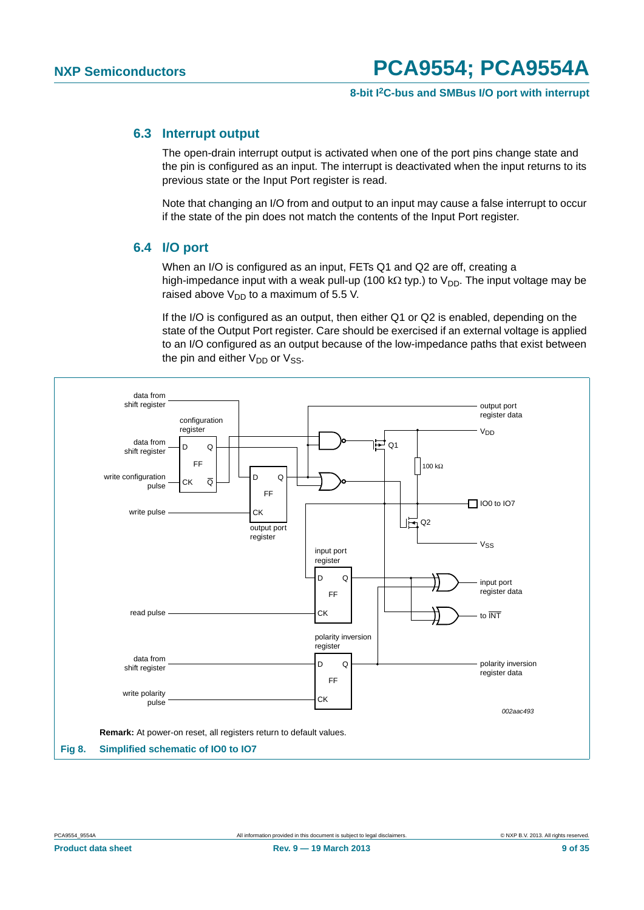#### <span id="page-8-0"></span>**6.3 Interrupt output**

The open-drain interrupt output is activated when one of the port pins change state and the pin is configured as an input. The interrupt is deactivated when the input returns to its previous state or the Input Port register is read.

Note that changing an I/O from and output to an input may cause a false interrupt to occur if the state of the pin does not match the contents of the Input Port register.

#### <span id="page-8-1"></span>**6.4 I/O port**

When an I/O is configured as an input, FETs Q1 and Q2 are off, creating a high-impedance input with a weak pull-up (100 k $\Omega$  typ.) to  $V_{DD}$ . The input voltage may be raised above  $V_{DD}$  to a maximum of 5.5 V.

If the I/O is configured as an output, then either Q1 or Q2 is enabled, depending on the state of the Output Port register. Care should be exercised if an external voltage is applied to an I/O configured as an output because of the low-impedance paths that exist between the pin and either  $V_{DD}$  or  $V_{SS}$ .

![](_page_8_Figure_9.jpeg)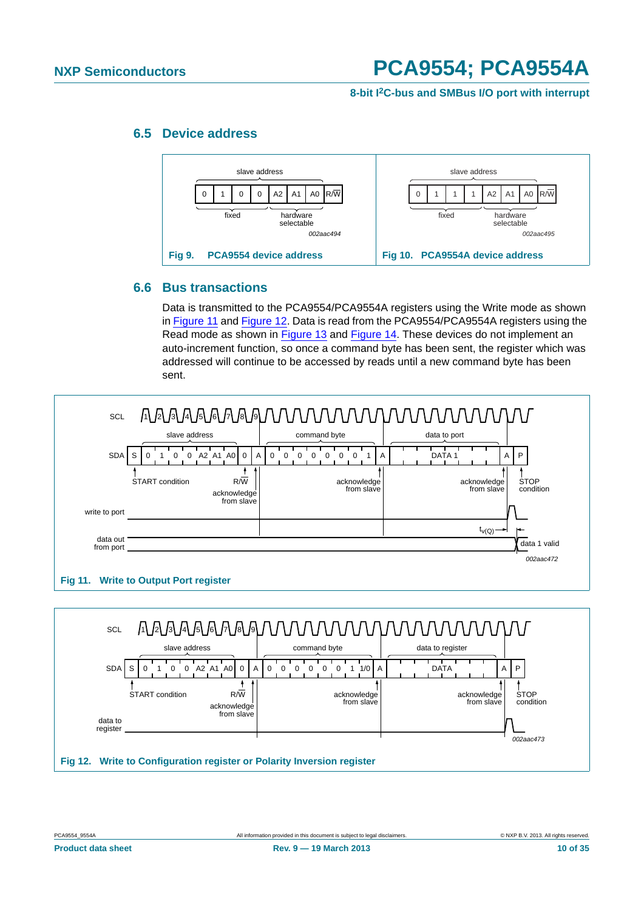<span id="page-9-2"></span>**8-bit I2C-bus and SMBus I/O port with interrupt**

### <span id="page-9-3"></span>**6.5 Device address**

![](_page_9_Figure_4.jpeg)

#### <span id="page-9-4"></span>**6.6 Bus transactions**

Data is transmitted to the PCA9554/PCA9554A registers using the Write mode as shown in [Figure 11](#page-9-0) and [Figure 12](#page-9-1). Data is read from the PCA9554/PCA9554A registers using the Read mode as shown in [Figure 13](#page-10-0) and [Figure 14.](#page-10-1) These devices do not implement an auto-increment function, so once a command byte has been sent, the register which was addressed will continue to be accessed by reads until a new command byte has been sent.

![](_page_9_Figure_7.jpeg)

<span id="page-9-1"></span><span id="page-9-0"></span>**Fig 12. Write to Configuration register or Polarity Inversion register**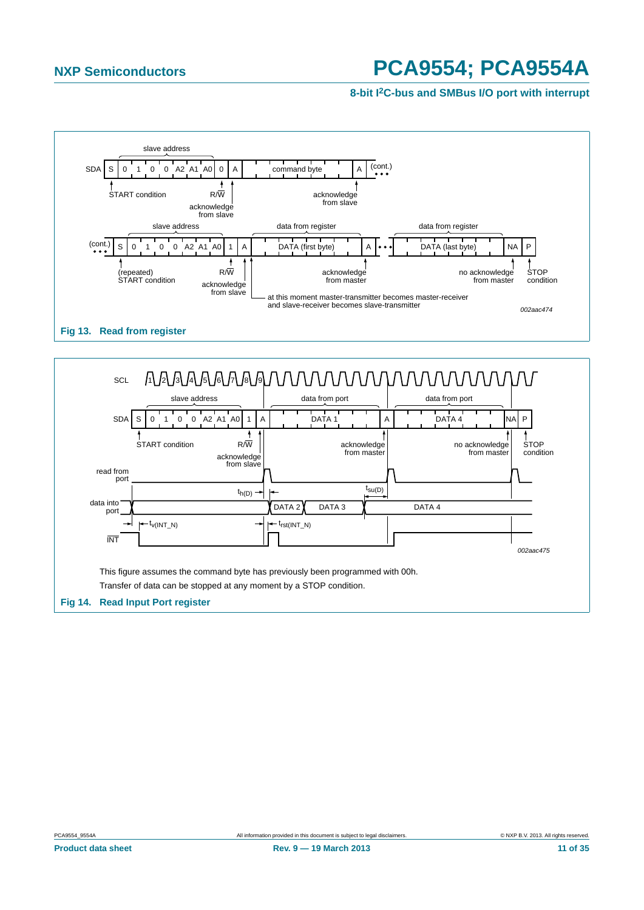![](_page_10_Figure_3.jpeg)

<span id="page-10-0"></span>![](_page_10_Figure_4.jpeg)

<span id="page-10-1"></span>![](_page_10_Figure_5.jpeg)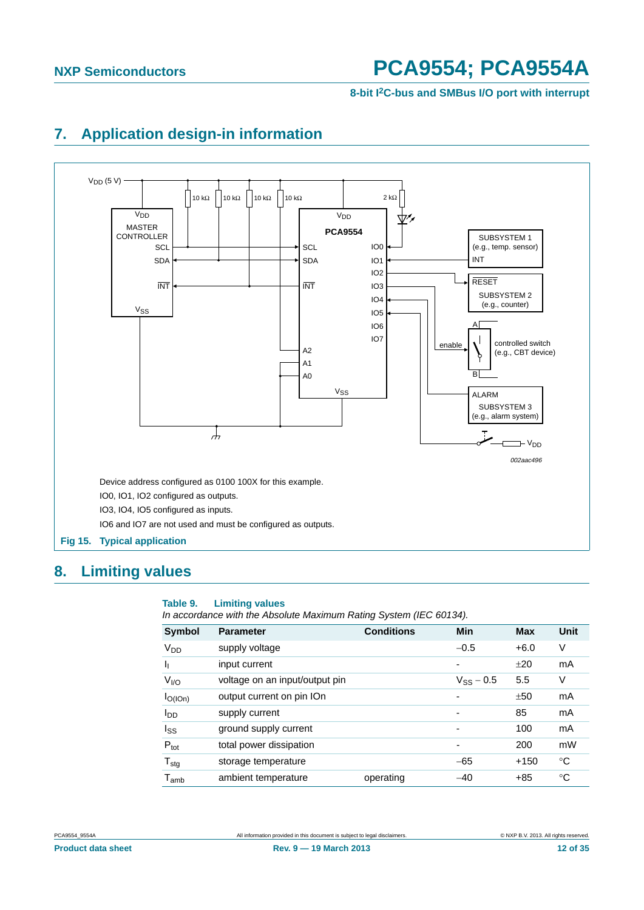**8-bit I2C-bus and SMBus I/O port with interrupt**

## <span id="page-11-0"></span>**7. Application design-in information**

![](_page_11_Figure_4.jpeg)

### <span id="page-11-1"></span>**8. Limiting values**

#### **Table 9. Limiting values**

*In accordance with the Absolute Maximum Rating System (IEC 60134).*

| Symbol                      | <b>Parameter</b>               | <b>Conditions</b> | Min            | <b>Max</b> | Unit |
|-----------------------------|--------------------------------|-------------------|----------------|------------|------|
| V <sub>DD</sub>             | supply voltage                 |                   | $-0.5$         | $+6.0$     | V    |
| ı,                          | input current                  |                   | ۰              | ±20        | mA   |
| $V_{I/O}$                   | voltage on an input/output pin |                   | $V_{SS}$ – 0.5 | 5.5        | V    |
| $I_{O(1On)}$                | output current on pin IOn      |                   |                | ±50        | mA   |
| l <sub>DD</sub>             | supply current                 |                   | ٠              | 85         | mA   |
| $I_{SS}$                    | ground supply current          |                   | -              | 100        | mA   |
| $P_{\text{tot}}$            | total power dissipation        |                   |                | 200        | mW   |
| $T_{\text{stg}}$            | storage temperature            |                   | $-65$          | $+150$     | °C   |
| $\mathsf{T}_{\mathsf{amb}}$ | ambient temperature            | operating         | $-40$          | $+85$      | °C   |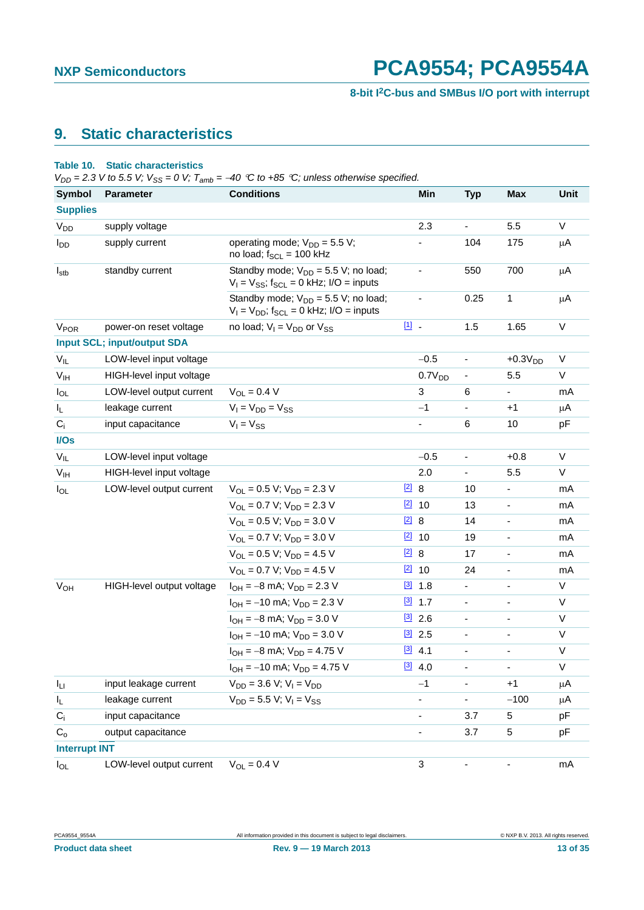### <span id="page-12-0"></span>**9. Static characteristics**

#### **Table 10. Static characteristics**

 $V_{DD}$  = 2.3 *V* to 5.5 *V*;  $V_{SS}$  = 0 *V*;  $T_{amb}$  = -40 °C to +85 °C; unless otherwise specified.

| <b>Symbol</b>          | <b>Parameter</b>                   | <b>Conditions</b>                                                                                    |               | Min                      | <b>Typ</b>                   | <b>Max</b>               | Unit    |
|------------------------|------------------------------------|------------------------------------------------------------------------------------------------------|---------------|--------------------------|------------------------------|--------------------------|---------|
| <b>Supplies</b>        |                                    |                                                                                                      |               |                          |                              |                          |         |
| V <sub>DD</sub>        | supply voltage                     |                                                                                                      |               | 2.3                      | $\qquad \qquad \blacksquare$ | 5.5                      | V       |
| <b>I</b> <sub>DD</sub> | supply current                     | operating mode; $V_{DD} = 5.5 V$ ;<br>no load; $f_{SCL} = 100$ kHz                                   |               |                          | 104                          | 175                      | $\mu$ A |
| $I_{\text{stb}}$       | standby current                    | Standby mode; $V_{DD} = 5.5 V$ ; no load;<br>$V_1 = V_{SS}$ ; f <sub>SCL</sub> = 0 kHz; I/O = inputs |               |                          | 550                          | 700                      | $\mu$ A |
|                        |                                    | Standby mode; $V_{DD} = 5.5 V$ ; no load;<br>$V_1 = V_{DD}$ ; f <sub>SCL</sub> = 0 kHz; I/O = inputs |               | $\frac{1}{2}$            | 0.25                         | 1                        | $\mu$ A |
| <b>V<sub>POR</sub></b> | power-on reset voltage             | no load; $V_1 = V_{DD}$ or $V_{SS}$                                                                  | $\boxed{11}$  |                          | 1.5                          | 1.65                     | $\vee$  |
|                        | <b>Input SCL; input/output SDA</b> |                                                                                                      |               |                          |                              |                          |         |
| $V_{IL}$               | LOW-level input voltage            |                                                                                                      |               | $-0.5$                   | $\overline{\phantom{a}}$     | $+0.3VDD$                | V       |
| V <sub>IH</sub>        | HIGH-level input voltage           |                                                                                                      |               | 0.7V <sub>DD</sub>       | $\blacksquare$               | 5.5                      | V       |
| $I_{OL}$               | LOW-level output current           | $V_{OL} = 0.4 V$                                                                                     |               | 3                        | 6                            |                          | mA      |
| IL.                    | leakage current                    | $V_I = V_{DD} = V_{SS}$                                                                              |               | $-1$                     | $\blacksquare$               | $+1$                     | μA      |
| $C_i$                  | input capacitance                  | $V_1 = V_{SS}$                                                                                       |               |                          | 6                            | 10                       | pF      |
| I/Os                   |                                    |                                                                                                      |               |                          |                              |                          |         |
| $V_{IL}$               | LOW-level input voltage            |                                                                                                      |               | $-0.5$                   | $\overline{\phantom{a}}$     | $+0.8$                   | $\vee$  |
| V <sub>IH</sub>        | HIGH-level input voltage           |                                                                                                      |               | 2.0                      | $\blacksquare$               | 5.5                      | V       |
| $I_{OL}$               | LOW-level output current           | $V_{\text{OI}} = 0.5 V$ ; $V_{\text{DD}} = 2.3 V$                                                    | $\boxed{2}$ 8 |                          | 10                           | $\blacksquare$           | mA      |
|                        |                                    | $V_{OL} = 0.7 V; V_{DD} = 2.3 V$                                                                     |               | $\boxed{2}$ 10           | 13                           | $\overline{\phantom{a}}$ | mA      |
|                        |                                    | $V_{OL} = 0.5 V$ ; $V_{DD} = 3.0 V$                                                                  | $\boxed{2}$ 8 |                          | 14                           | ÷,                       | mA      |
|                        |                                    | $V_{OL} = 0.7 V$ ; $V_{DD} = 3.0 V$                                                                  |               | $\boxed{2}$ 10           | 19                           | $\overline{\phantom{a}}$ | mA      |
|                        |                                    | $V_{OL} = 0.5 V$ ; $V_{DD} = 4.5 V$                                                                  | $\boxed{2}$ 8 |                          | 17                           | $\blacksquare$           | mA      |
|                        |                                    | $V_{OL} = 0.7 V$ ; $V_{DD} = 4.5 V$                                                                  |               | $\boxed{2}$ 10           | 24                           | $\overline{\phantom{a}}$ | mA      |
| <b>V<sub>OH</sub></b>  | HIGH-level output voltage          | $I_{OH} = -8$ mA; $V_{DD} = 2.3$ V                                                                   |               | $[3]$ 1.8                | $\frac{1}{2}$                |                          | V       |
|                        |                                    | $I_{OH} = -10$ mA; $V_{DD} = 2.3$ V                                                                  |               | $[3]$ 1.7                | $\blacksquare$               | $\blacksquare$           | V       |
|                        |                                    | $I_{OH} = -8$ mA; $V_{DD} = 3.0$ V                                                                   |               | $\boxed{3}$ 2.6          | $\overline{\phantom{a}}$     | $\blacksquare$           | $\vee$  |
|                        |                                    | $I_{OH} = -10$ mA; $V_{DD} = 3.0$ V                                                                  |               | $\boxed{3}$ 2.5          | $\overline{\phantom{a}}$     | $\overline{\phantom{a}}$ | V       |
|                        |                                    | $I_{OH} = -8$ mA; $V_{DD} = 4.75$ V                                                                  |               | $[3]$ 4.1                |                              |                          | $\vee$  |
|                        |                                    | $I_{OH} = -10$ mA; $V_{DD} = 4.75$ V                                                                 |               | $[3]$ 4.0                |                              |                          | V       |
| Iц                     | input leakage current              | $V_{DD}$ = 3.6 V; V <sub>I</sub> = V <sub>DD</sub>                                                   |               | $-1$                     |                              | $+1$                     | μA      |
| IL.                    | leakage current                    | $V_{DD} = 5.5 V$ ; $V_1 = V_{SS}$                                                                    |               | $\overline{\phantom{0}}$ | $\overline{\phantom{0}}$     | $-100$                   | μA      |
| $C_i$                  | input capacitance                  |                                                                                                      |               |                          | 3.7                          | 5                        | pF      |
| $C_{o}$                | output capacitance                 |                                                                                                      |               | $\overline{\phantom{0}}$ | 3.7                          | 5                        | pF      |
| <b>Interrupt INT</b>   |                                    |                                                                                                      |               |                          |                              |                          |         |
| $I_{OL}$               | LOW-level output current           | $V_{OL} = 0.4 V$                                                                                     |               | 3                        | $\overline{\phantom{a}}$     | $\blacksquare$           | mA      |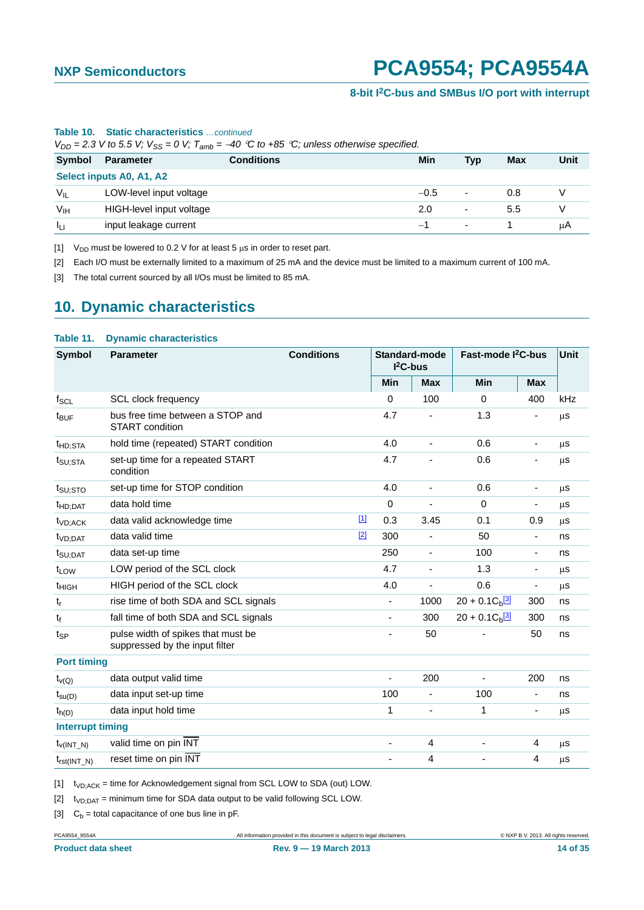| $V_{DD}$ = 2.3 V to 5.5 V; $V_{SS}$ = 0 V; $T_{amb}$ = -40 °C to +85 °C; unless otherwise specified. |                          |                   |        |                          |     |      |  |  |
|------------------------------------------------------------------------------------------------------|--------------------------|-------------------|--------|--------------------------|-----|------|--|--|
| Symbol                                                                                               | Parameter                | <b>Conditions</b> | Min    | <b>Typ</b>               | Max | Unit |  |  |
|                                                                                                      | Select inputs A0, A1, A2 |                   |        |                          |     |      |  |  |
| $V_{IL}$                                                                                             | LOW-level input voltage  |                   | $-0.5$ | $\overline{\phantom{a}}$ | 0.8 |      |  |  |
| V <sub>IH</sub>                                                                                      | HIGH-level input voltage |                   | 2.0    | $\overline{\phantom{0}}$ | 5.5 |      |  |  |
| Īц                                                                                                   | input leakage current    |                   |        | ٠                        |     | μA   |  |  |

#### **Table 10. Static characteristics** *…continued*

<span id="page-13-0"></span>[1]  $V_{DD}$  must be lowered to 0.2 V for at least 5  $\mu$ s in order to reset part.

<span id="page-13-1"></span>[2] Each I/O must be externally limited to a maximum of 25 mA and the device must be limited to a maximum current of 100 mA.

<span id="page-13-2"></span>[3] The total current sourced by all I/Os must be limited to 85 mA.

### <span id="page-13-6"></span>**10. Dynamic characteristics**

#### **Table 11. Dynamic characteristics**

| <b>Symbol</b>           | <b>Parameter</b>                                                     | <b>Conditions</b> |       | Standard-mode<br>$I2C-bus$   |                              | Fast-mode <sup>2</sup> C-bus  |                          | Unit |
|-------------------------|----------------------------------------------------------------------|-------------------|-------|------------------------------|------------------------------|-------------------------------|--------------------------|------|
|                         |                                                                      |                   |       | Min                          | <b>Max</b>                   | <b>Min</b>                    | <b>Max</b>               |      |
| $f_{SCL}$               | <b>SCL clock frequency</b>                                           |                   |       | $\Omega$                     | 100                          | $\Omega$                      | 400                      | kHz  |
| t <sub>BUF</sub>        | bus free time between a STOP and<br><b>START</b> condition           |                   |       | 4.7                          | $\qquad \qquad \blacksquare$ | 1.3                           | ٠                        | μs   |
| t <sub>HD;STA</sub>     | hold time (repeated) START condition                                 |                   |       | 4.0                          | $\blacksquare$               | 0.6                           | $\overline{\phantom{a}}$ | μS   |
| t <sub>SU;STA</sub>     | set-up time for a repeated START<br>condition                        |                   |       | 4.7                          | $\overline{\phantom{a}}$     | 0.6                           | -                        | μS   |
| t <sub>SU;STO</sub>     | set-up time for STOP condition                                       |                   |       | 4.0                          | $\qquad \qquad \blacksquare$ | 0.6                           | ٠                        | μS   |
| <sup>t</sup> HD;DAT     | data hold time                                                       |                   |       | $\mathbf 0$                  | ÷,                           | $\Omega$                      | ٠                        | μs   |
| t <sub>VD;ACK</sub>     | data valid acknowledge time                                          |                   | $[1]$ | 0.3                          | 3.45                         | 0.1                           | 0.9                      | μs   |
| t <sub>VD;DAT</sub>     | data valid time                                                      |                   | $[2]$ | 300                          | ÷,                           | 50                            | $\overline{\phantom{a}}$ | ns   |
| $t_{\text{SU;DAT}}$     | data set-up time                                                     |                   |       | 250                          | $\qquad \qquad \blacksquare$ | 100                           | $\overline{\phantom{a}}$ | ns   |
| t <sub>LOW</sub>        | LOW period of the SCL clock                                          |                   |       | 4.7                          | ä,                           | 1.3                           | $\overline{\phantom{m}}$ | μS   |
| <sup>t</sup> HIGH       | HIGH period of the SCL clock                                         |                   |       | 4.0                          | $\blacksquare$               | 0.6                           | $\overline{\phantom{a}}$ | μs   |
| $t_r$                   | rise time of both SDA and SCL signals                                |                   |       | $\overline{\phantom{a}}$     | 1000                         | $20 + 0.1 Cb$ <sup>[3]</sup>  | 300                      | ns   |
| $t_f$                   | fall time of both SDA and SCL signals                                |                   |       | $\overline{\phantom{a}}$     | 300                          | $20 + 0.1 C_h$ <sup>[3]</sup> | 300                      | ns   |
| $t_{SP}$                | pulse width of spikes that must be<br>suppressed by the input filter |                   |       |                              | 50                           |                               | 50                       | ns   |
| <b>Port timing</b>      |                                                                      |                   |       |                              |                              |                               |                          |      |
| $t_{\nu(Q)}$            | data output valid time                                               |                   |       | $\blacksquare$               | 200                          |                               | 200                      | ns   |
| $t_{\text{SU}(D)}$      | data input set-up time                                               |                   |       | 100                          | ÷,                           | 100                           | $\overline{\phantom{m}}$ | ns   |
| $t_{h(D)}$              | data input hold time                                                 |                   |       | 1                            | ÷,                           | 1                             |                          | μs   |
| <b>Interrupt timing</b> |                                                                      |                   |       |                              |                              |                               |                          |      |
| $t_{V(INT N)}$          | valid time on pin INT                                                |                   |       | $\overline{\phantom{a}}$     | 4                            | ÷,                            | 4                        | μS   |
| $t_{rst(INT_N)}$        | reset time on pin INT                                                |                   |       | $\qquad \qquad \blacksquare$ | 4                            |                               | 4                        | μS   |

<span id="page-13-3"></span> $[1]$  t<sub>VD;ACK</sub> = time for Acknowledgement signal from SCL LOW to SDA (out) LOW.

<span id="page-13-4"></span> $[2]$  t<sub>VD;DAT</sub> = minimum time for SDA data output to be valid following SCL LOW.

<span id="page-13-5"></span>[3]  $C_b =$  total capacitance of one bus line in pF.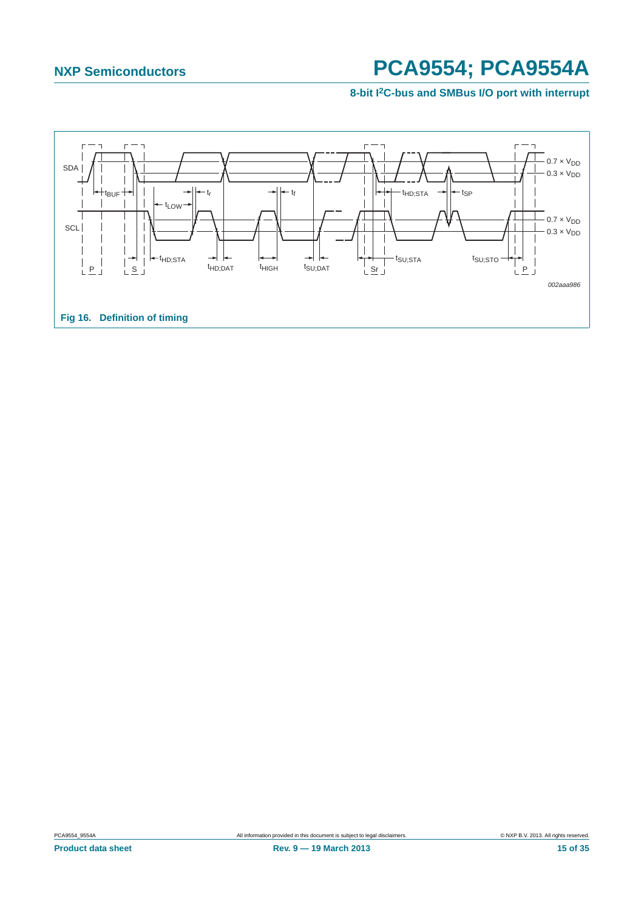<span id="page-14-0"></span>![](_page_14_Figure_3.jpeg)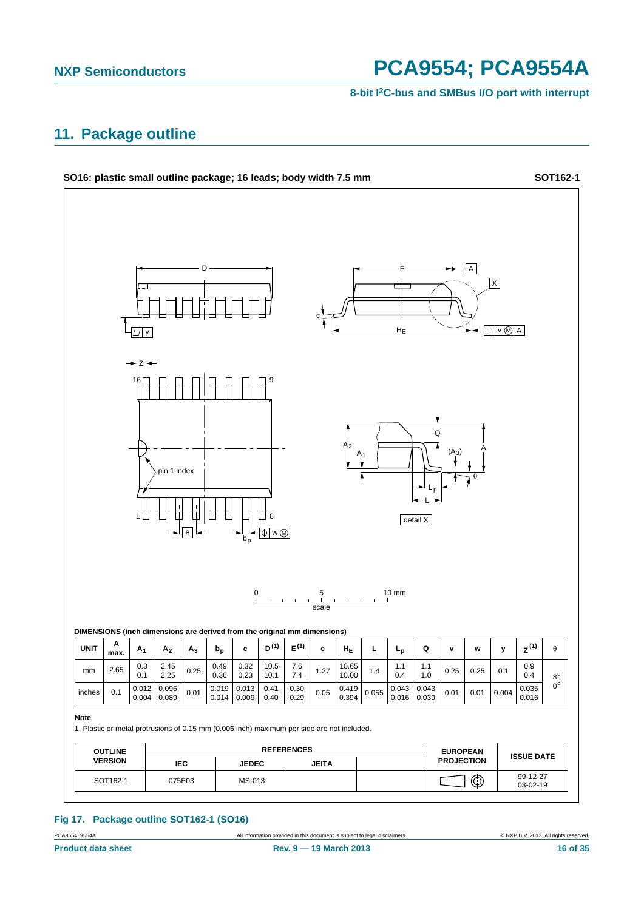**8-bit I2C-bus and SMBus I/O port with interrupt**

### <span id="page-15-0"></span>**11. Package outline**

![](_page_15_Figure_4.jpeg)

### **Fig 17. Package outline SOT162-1 (SO16)**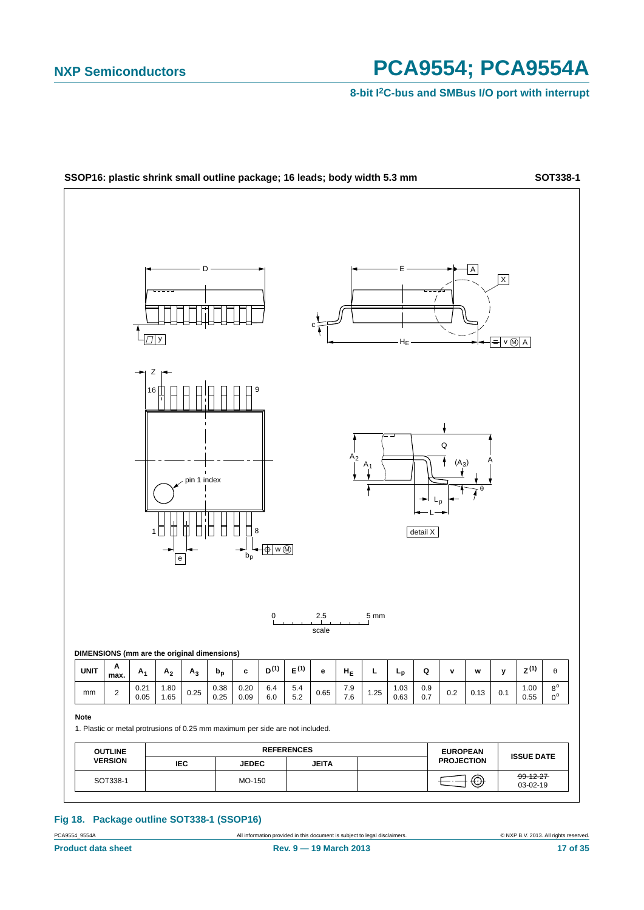**8-bit I2C-bus and SMBus I/O port with interrupt**

![](_page_16_Figure_3.jpeg)

#### **Fig 18. Package outline SOT338-1 (SSOP16)**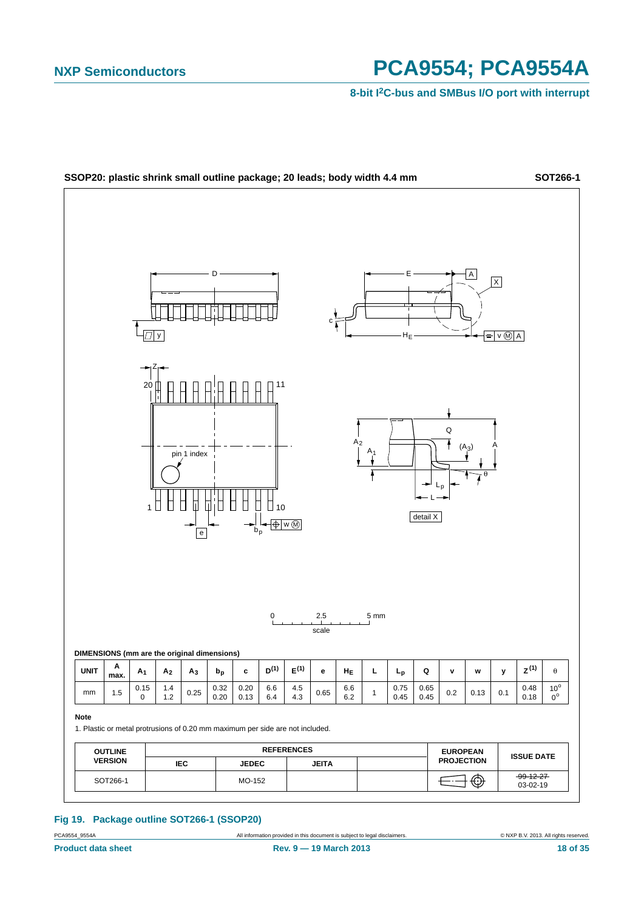**8-bit I2C-bus and SMBus I/O port with interrupt**

![](_page_17_Figure_3.jpeg)

#### **Fig 19. Package outline SOT266-1 (SSOP20)**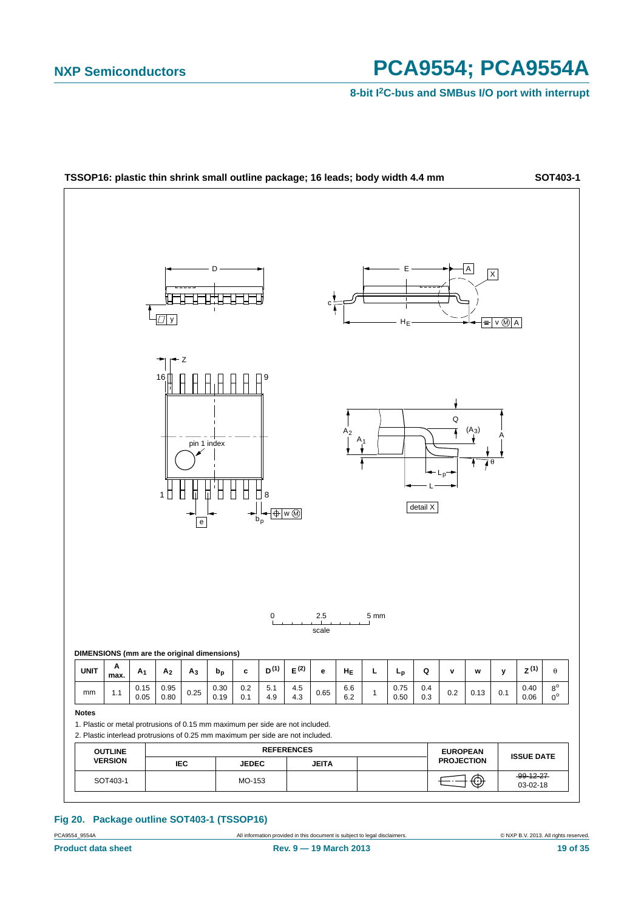**8-bit I2C-bus and SMBus I/O port with interrupt**

![](_page_18_Figure_3.jpeg)

#### **Fig 20. Package outline SOT403-1 (TSSOP16)**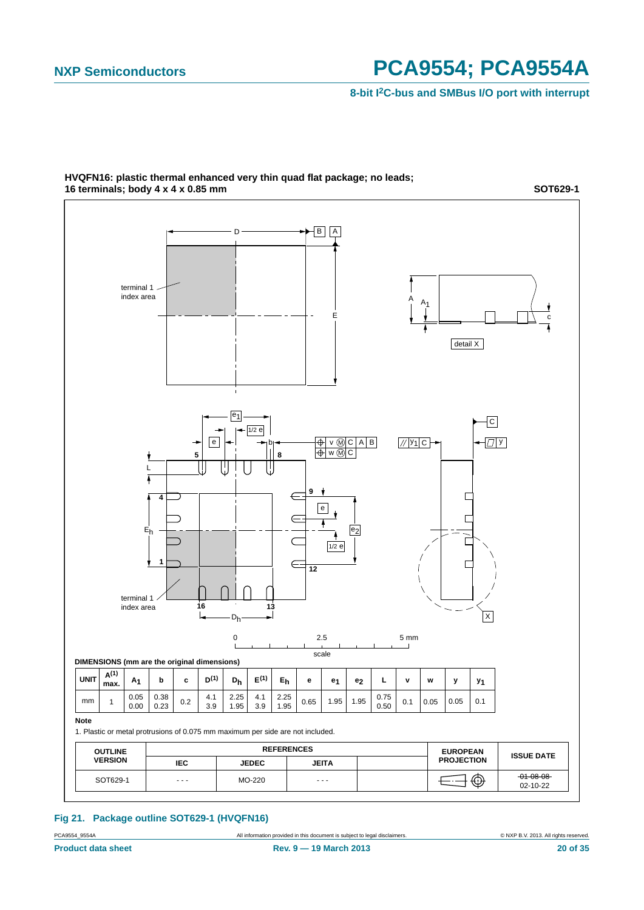**8-bit I2C-bus and SMBus I/O port with interrupt**

![](_page_19_Figure_3.jpeg)

#### **HVQFN16: plastic thermal enhanced very thin quad flat package; no leads; 16 terminals; body 4 x 4 x 0.85 mm**

**SOT629-1**

**Fig 21. Package outline SOT629-1 (HVQFN16)**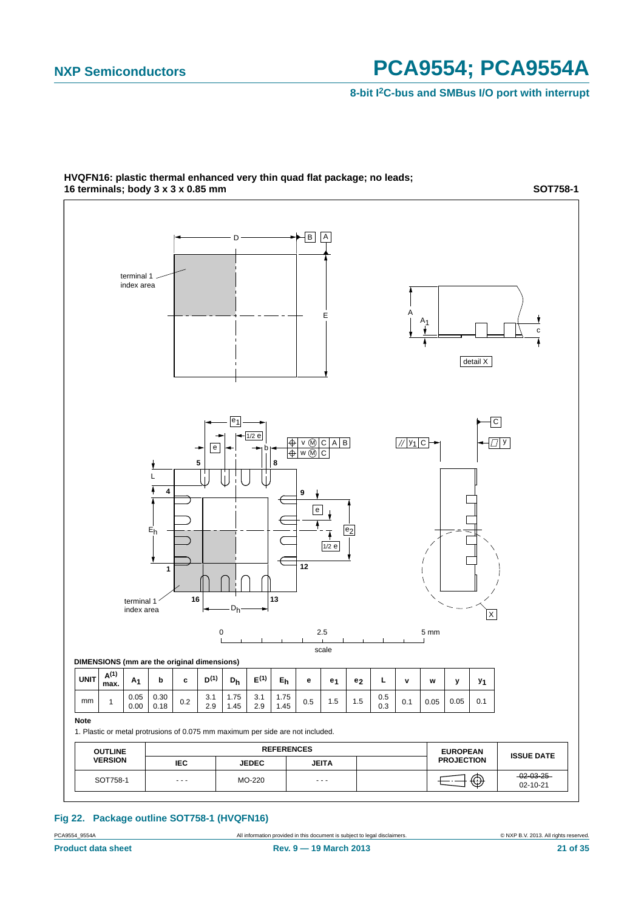**8-bit I2C-bus and SMBus I/O port with interrupt**

![](_page_20_Figure_3.jpeg)

#### **HVQFN16: plastic thermal enhanced very thin quad flat package; no leads; 16 terminals; body 3 x 3 x 0.85 mm**

**SOT758-1**

**Fig 22. Package outline SOT758-1 (HVQFN16)**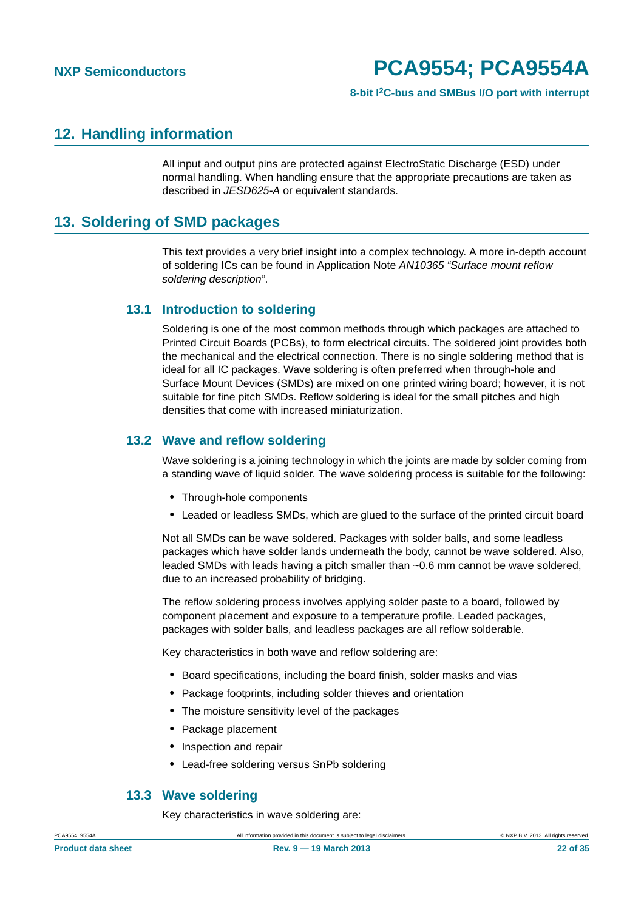#### **8-bit I2C-bus and SMBus I/O port with interrupt**

### <span id="page-21-0"></span>**12. Handling information**

All input and output pins are protected against ElectroStatic Discharge (ESD) under normal handling. When handling ensure that the appropriate precautions are taken as described in *JESD625-A* or equivalent standards.

### <span id="page-21-1"></span>**13. Soldering of SMD packages**

This text provides a very brief insight into a complex technology. A more in-depth account of soldering ICs can be found in Application Note *AN10365 "Surface mount reflow soldering description"*.

### <span id="page-21-2"></span>**13.1 Introduction to soldering**

Soldering is one of the most common methods through which packages are attached to Printed Circuit Boards (PCBs), to form electrical circuits. The soldered joint provides both the mechanical and the electrical connection. There is no single soldering method that is ideal for all IC packages. Wave soldering is often preferred when through-hole and Surface Mount Devices (SMDs) are mixed on one printed wiring board; however, it is not suitable for fine pitch SMDs. Reflow soldering is ideal for the small pitches and high densities that come with increased miniaturization.

### <span id="page-21-3"></span>**13.2 Wave and reflow soldering**

Wave soldering is a joining technology in which the joints are made by solder coming from a standing wave of liquid solder. The wave soldering process is suitable for the following:

- **•** Through-hole components
- **•** Leaded or leadless SMDs, which are glued to the surface of the printed circuit board

Not all SMDs can be wave soldered. Packages with solder balls, and some leadless packages which have solder lands underneath the body, cannot be wave soldered. Also, leaded SMDs with leads having a pitch smaller than ~0.6 mm cannot be wave soldered, due to an increased probability of bridging.

The reflow soldering process involves applying solder paste to a board, followed by component placement and exposure to a temperature profile. Leaded packages, packages with solder balls, and leadless packages are all reflow solderable.

Key characteristics in both wave and reflow soldering are:

- **•** Board specifications, including the board finish, solder masks and vias
- **•** Package footprints, including solder thieves and orientation
- **•** The moisture sensitivity level of the packages
- **•** Package placement
- **•** Inspection and repair
- **•** Lead-free soldering versus SnPb soldering

#### <span id="page-21-4"></span>**13.3 Wave soldering**

Key characteristics in wave soldering are: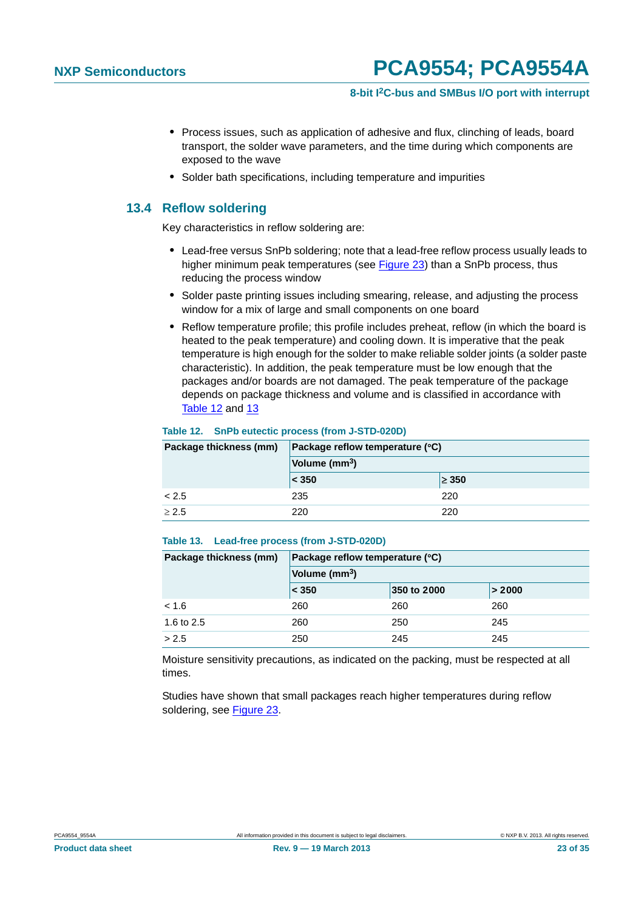#### **8-bit I2C-bus and SMBus I/O port with interrupt**

- **•** Process issues, such as application of adhesive and flux, clinching of leads, board transport, the solder wave parameters, and the time during which components are exposed to the wave
- **•** Solder bath specifications, including temperature and impurities

#### <span id="page-22-0"></span>**13.4 Reflow soldering**

Key characteristics in reflow soldering are:

- **•** Lead-free versus SnPb soldering; note that a lead-free reflow process usually leads to higher minimum peak temperatures (see Figure 23) than a SnPb process, thus reducing the process window
- **•** Solder paste printing issues including smearing, release, and adjusting the process window for a mix of large and small components on one board
- **•** Reflow temperature profile; this profile includes preheat, reflow (in which the board is heated to the peak temperature) and cooling down. It is imperative that the peak temperature is high enough for the solder to make reliable solder joints (a solder paste characteristic). In addition, the peak temperature must be low enough that the packages and/or boards are not damaged. The peak temperature of the package depends on package thickness and volume and is classified in accordance with Table 12 and 13

#### **Table 12. SnPb eutectic process (from J-STD-020D)**

| Package thickness (mm) | Package reflow temperature (°C)<br>Volume (mm <sup>3</sup> ) |            |  |
|------------------------|--------------------------------------------------------------|------------|--|
|                        |                                                              |            |  |
|                        | $ $ < 350                                                    | $\geq 350$ |  |
| < 2.5                  | 235                                                          | 220        |  |
| $\geq 2.5$             | 220                                                          | 220        |  |

#### **Table 13. Lead-free process (from J-STD-020D)**

| Package thickness (mm) | Package reflow temperature (°C) |             |        |  |  |
|------------------------|---------------------------------|-------------|--------|--|--|
|                        | Volume (mm <sup>3</sup> )       |             |        |  |  |
|                        | < 350                           | 350 to 2000 | > 2000 |  |  |
| < 1.6                  | 260                             | 260         | 260    |  |  |
| 1.6 to 2.5             | 260                             | 250         | 245    |  |  |
| > 2.5                  | 250                             | 245         | 245    |  |  |

Moisture sensitivity precautions, as indicated on the packing, must be respected at all times.

Studies have shown that small packages reach higher temperatures during reflow soldering, see Figure 23.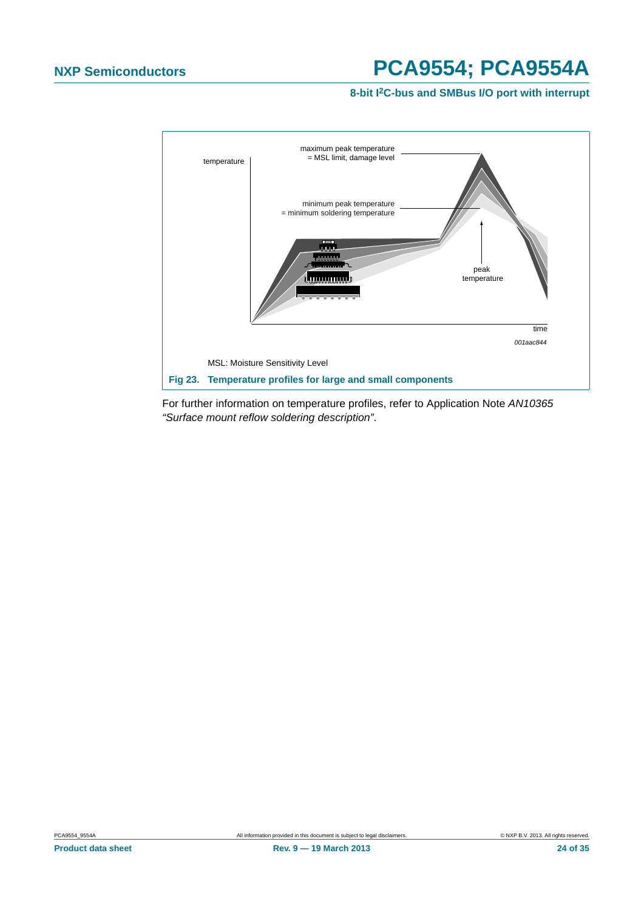**8-bit I2C-bus and SMBus I/O port with interrupt**

![](_page_23_Figure_3.jpeg)

For further information on temperature profiles, refer to Application Note *AN10365 "Surface mount reflow soldering description"*.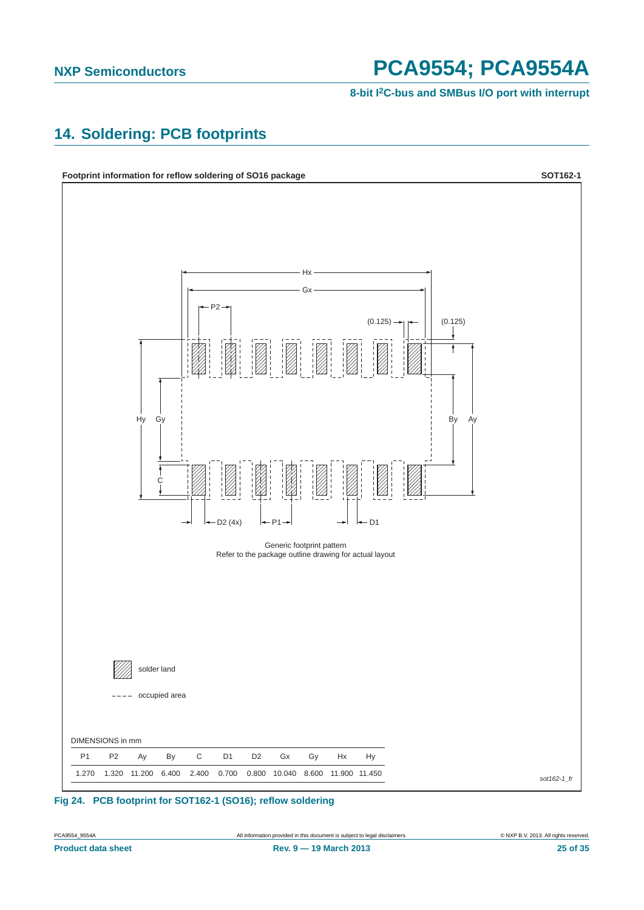**8-bit I2C-bus and SMBus I/O port with interrupt**

### <span id="page-24-0"></span>**14. Soldering: PCB footprints**

![](_page_24_Figure_4.jpeg)

![](_page_24_Figure_5.jpeg)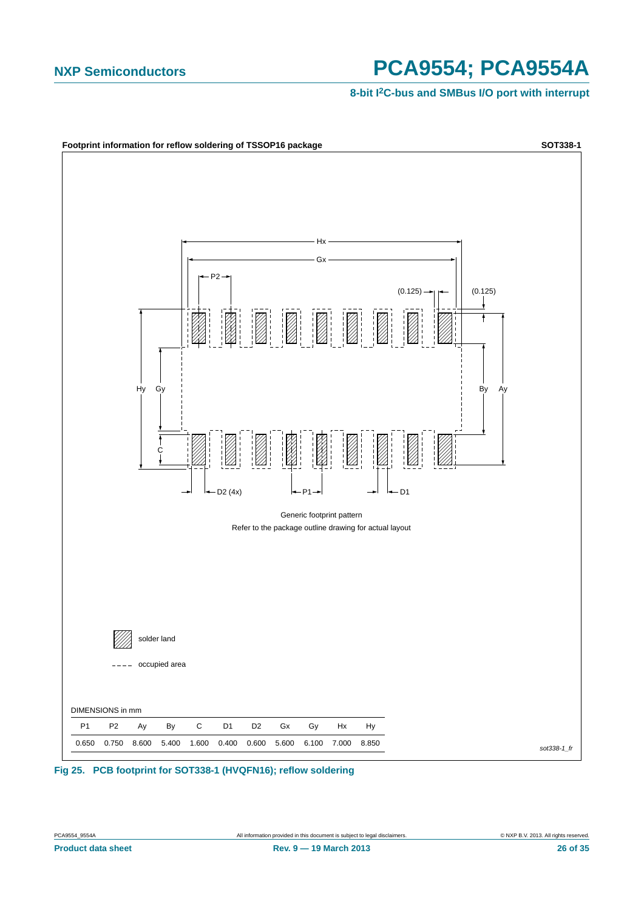![](_page_25_Figure_3.jpeg)

**Fig 25. PCB footprint for SOT338-1 (HVQFN16); reflow soldering**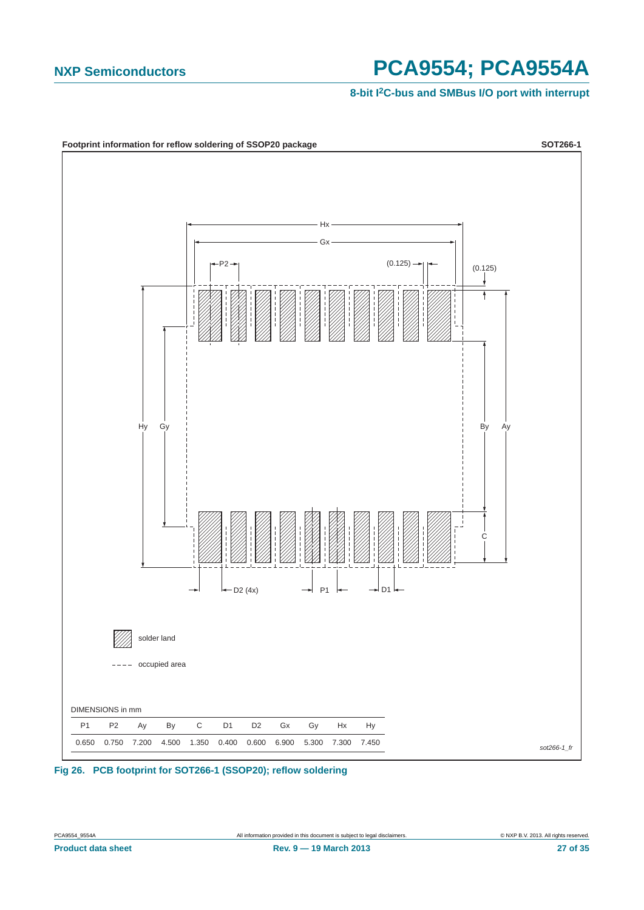![](_page_26_Figure_3.jpeg)

**Fig 26. PCB footprint for SOT266-1 (SSOP20); reflow soldering**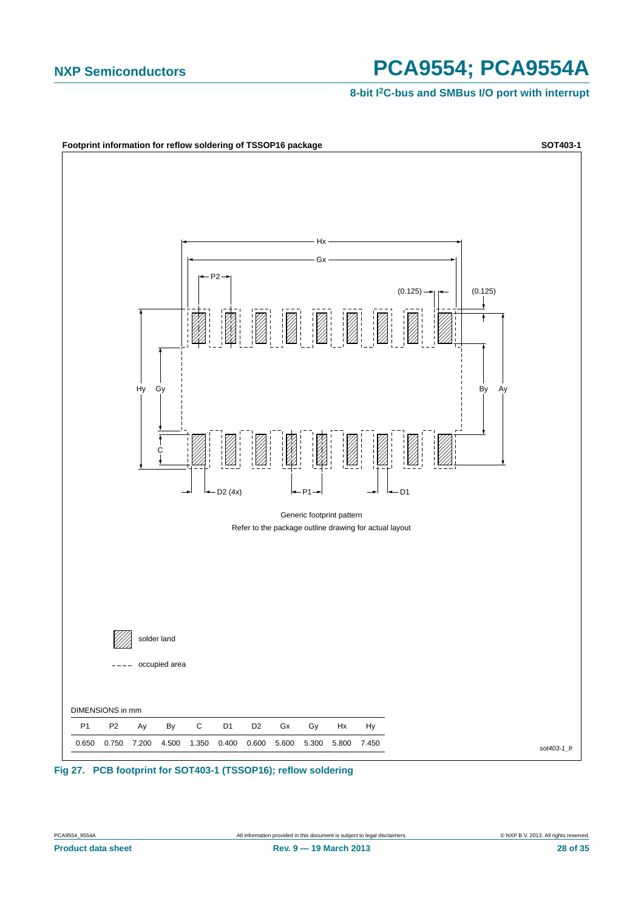![](_page_27_Figure_3.jpeg)

**Fig 27. PCB footprint for SOT403-1 (TSSOP16); reflow soldering**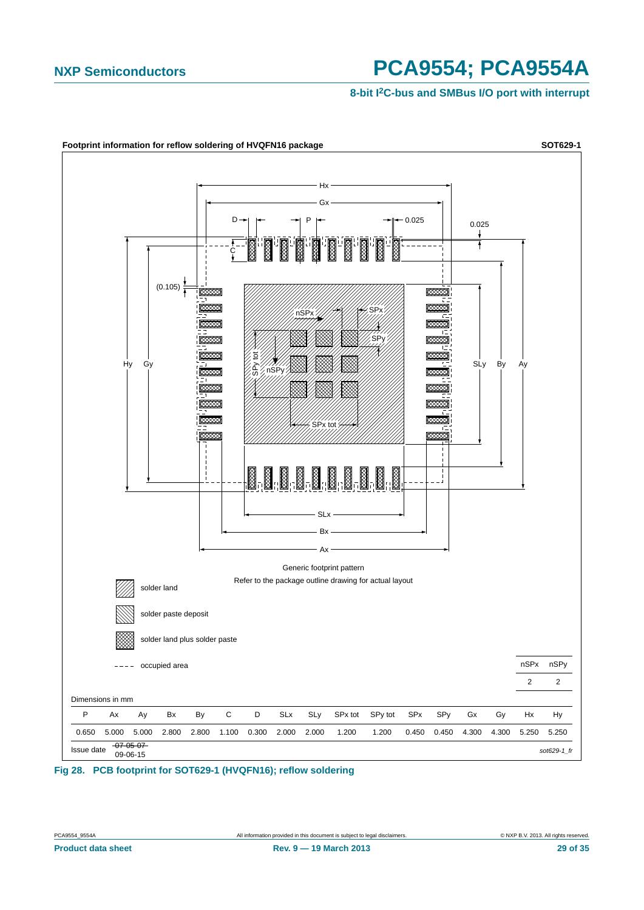![](_page_28_Figure_3.jpeg)

**Fig 28. PCB footprint for SOT629-1 (HVQFN16); reflow soldering**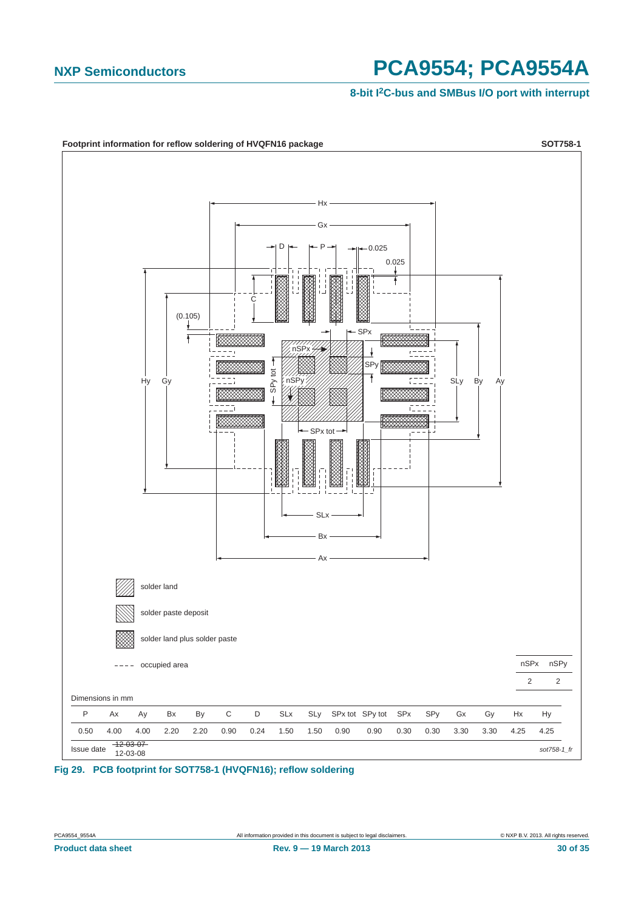![](_page_29_Figure_3.jpeg)

![](_page_29_Figure_4.jpeg)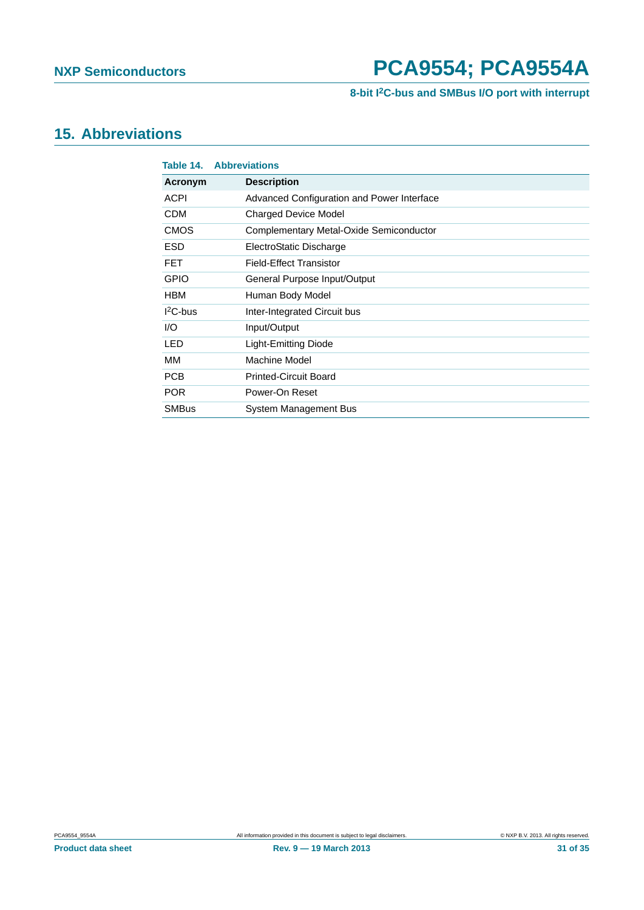### **8-bit I2C-bus and SMBus I/O port with interrupt**

### <span id="page-30-0"></span>**15. Abbreviations**

| Table 14.    | <b>Abbreviations</b>                       |
|--------------|--------------------------------------------|
| Acronym      | <b>Description</b>                         |
| <b>ACPI</b>  | Advanced Configuration and Power Interface |
| <b>CDM</b>   | <b>Charged Device Model</b>                |
| <b>CMOS</b>  | Complementary Metal-Oxide Semiconductor    |
| <b>ESD</b>   | ElectroStatic Discharge                    |
| <b>FET</b>   | <b>Field-Effect Transistor</b>             |
| <b>GPIO</b>  | General Purpose Input/Output               |
| <b>HBM</b>   | Human Body Model                           |
| $12C$ -bus   | Inter-Integrated Circuit bus               |
| 1/O          | Input/Output                               |
| LED          | Light-Emitting Diode                       |
| MМ           | Machine Model                              |
| <b>PCB</b>   | <b>Printed-Circuit Board</b>               |
| <b>POR</b>   | Power-On Reset                             |
| <b>SMBus</b> | System Management Bus                      |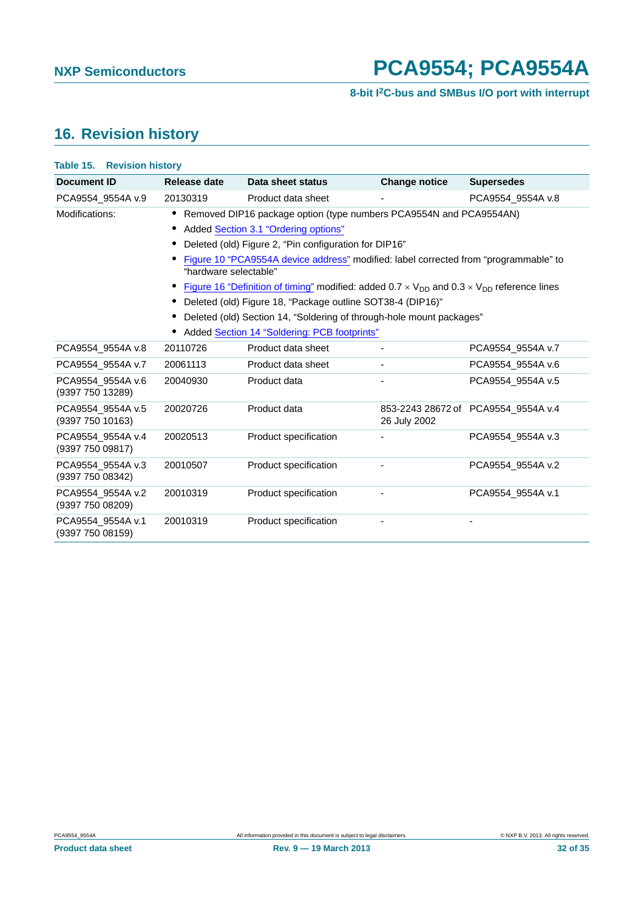### <span id="page-31-0"></span>**16. Revision history**

| <b>Table 15. Revision history</b>     |                                                                                                                                                                                                                                            |                                                                                                                                                                                    |                      |                                     |  |
|---------------------------------------|--------------------------------------------------------------------------------------------------------------------------------------------------------------------------------------------------------------------------------------------|------------------------------------------------------------------------------------------------------------------------------------------------------------------------------------|----------------------|-------------------------------------|--|
| <b>Document ID</b>                    | Release date                                                                                                                                                                                                                               | Data sheet status                                                                                                                                                                  | <b>Change notice</b> | <b>Supersedes</b>                   |  |
| PCA9554 9554A v.9                     | 20130319                                                                                                                                                                                                                                   | Product data sheet                                                                                                                                                                 |                      | PCA9554_9554A v.8                   |  |
| Modifications:                        |                                                                                                                                                                                                                                            | Removed DIP16 package option (type numbers PCA9554N and PCA9554AN)<br>Added Section 3.1 "Ordering options"<br>Deleted (old) Figure 2, "Pin configuration for DIP16"                |                      |                                     |  |
|                                       | Figure 10 "PCA9554A device address" modified: label corrected from "programmable" to<br>"hardware selectable"<br>Figure 16 "Definition of timing" modified: added $0.7 \times V_{DD}$ and $0.3 \times V_{DD}$ reference lines<br>$\bullet$ |                                                                                                                                                                                    |                      |                                     |  |
|                                       | $\bullet$                                                                                                                                                                                                                                  | Deleted (old) Figure 18, "Package outline SOT38-4 (DIP16)"<br>Deleted (old) Section 14, "Soldering of through-hole mount packages"<br>Added Section 14 "Soldering: PCB footprints" |                      |                                     |  |
| PCA9554 9554A v.8                     | 20110726                                                                                                                                                                                                                                   | Product data sheet                                                                                                                                                                 |                      | PCA9554 9554A v.7                   |  |
| PCA9554 9554A v.7                     | 20061113                                                                                                                                                                                                                                   | Product data sheet                                                                                                                                                                 |                      | PCA9554 9554A v.6                   |  |
| PCA9554_9554A v.6<br>(9397 750 13289) | 20040930                                                                                                                                                                                                                                   | Product data                                                                                                                                                                       |                      | PCA9554 9554A v.5                   |  |
| PCA9554_9554A v.5<br>(9397 750 10163) | 20020726                                                                                                                                                                                                                                   | Product data                                                                                                                                                                       | 26 July 2002         | 853-2243 28672 of PCA9554 9554A v.4 |  |
| PCA9554_9554A v.4<br>(9397 750 09817) | 20020513                                                                                                                                                                                                                                   | Product specification                                                                                                                                                              |                      | PCA9554 9554A v.3                   |  |
| PCA9554_9554A v.3<br>(9397 750 08342) | 20010507                                                                                                                                                                                                                                   | Product specification                                                                                                                                                              |                      | PCA9554 9554A v.2                   |  |
| PCA9554 9554A v.2<br>(9397 750 08209) | 20010319                                                                                                                                                                                                                                   | Product specification                                                                                                                                                              |                      | PCA9554 9554A v.1                   |  |
| PCA9554_9554A v.1<br>(9397 750 08159) | 20010319                                                                                                                                                                                                                                   | Product specification                                                                                                                                                              |                      |                                     |  |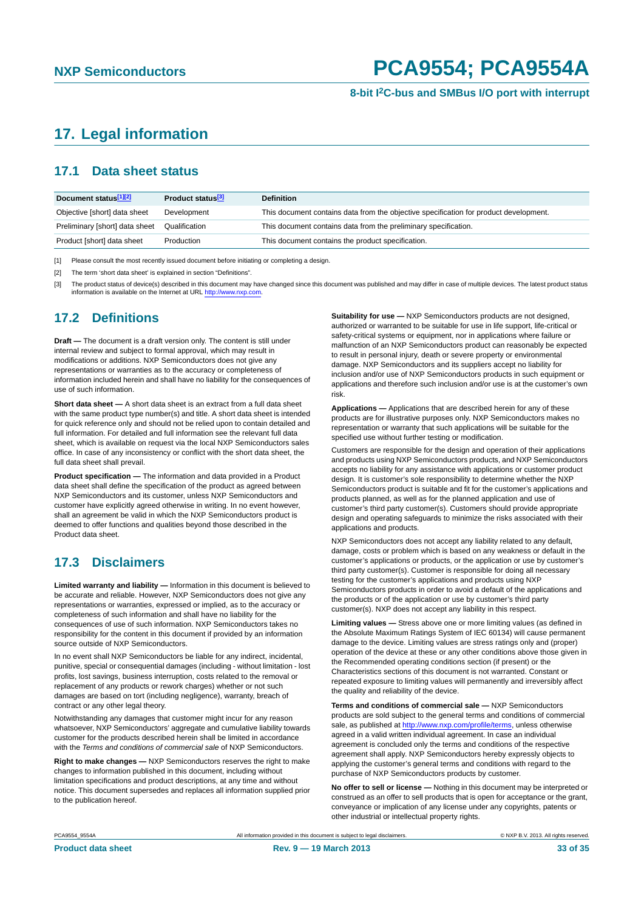### <span id="page-32-0"></span>**17. Legal information**

### <span id="page-32-1"></span>**17.1 Data sheet status**

| Document status[1][2]          | <b>Product status</b> <sup>[3]</sup> | <b>Definition</b>                                                                     |
|--------------------------------|--------------------------------------|---------------------------------------------------------------------------------------|
| Objective [short] data sheet   | Development                          | This document contains data from the objective specification for product development. |
| Preliminary [short] data sheet | Qualification                        | This document contains data from the preliminary specification.                       |
| Product [short] data sheet     | Production                           | This document contains the product specification.                                     |

[1] Please consult the most recently issued document before initiating or completing a design.

[2] The term 'short data sheet' is explained in section "Definitions".

[3] The product status of device(s) described in this document may have changed since this document was published and may differ in case of multiple devices. The latest product status<br>information is available on the Intern

#### <span id="page-32-2"></span>**17.2 Definitions**

**Draft —** The document is a draft version only. The content is still under internal review and subject to formal approval, which may result in modifications or additions. NXP Semiconductors does not give any representations or warranties as to the accuracy or completeness of information included herein and shall have no liability for the consequences of use of such information.

**Short data sheet —** A short data sheet is an extract from a full data sheet with the same product type number(s) and title. A short data sheet is intended for quick reference only and should not be relied upon to contain detailed and full information. For detailed and full information see the relevant full data sheet, which is available on request via the local NXP Semiconductors sales office. In case of any inconsistency or conflict with the short data sheet, the full data sheet shall prevail.

**Product specification —** The information and data provided in a Product data sheet shall define the specification of the product as agreed between NXP Semiconductors and its customer, unless NXP Semiconductors and customer have explicitly agreed otherwise in writing. In no event however, shall an agreement be valid in which the NXP Semiconductors product is deemed to offer functions and qualities beyond those described in the Product data sheet.

### <span id="page-32-3"></span>**17.3 Disclaimers**

**Limited warranty and liability —** Information in this document is believed to be accurate and reliable. However, NXP Semiconductors does not give any representations or warranties, expressed or implied, as to the accuracy or completeness of such information and shall have no liability for the consequences of use of such information. NXP Semiconductors takes no responsibility for the content in this document if provided by an information source outside of NXP Semiconductors.

In no event shall NXP Semiconductors be liable for any indirect, incidental, punitive, special or consequential damages (including - without limitation - lost profits, lost savings, business interruption, costs related to the removal or replacement of any products or rework charges) whether or not such damages are based on tort (including negligence), warranty, breach of contract or any other legal theory.

Notwithstanding any damages that customer might incur for any reason whatsoever, NXP Semiconductors' aggregate and cumulative liability towards customer for the products described herein shall be limited in accordance with the *Terms and conditions of commercial sale* of NXP Semiconductors.

**Right to make changes —** NXP Semiconductors reserves the right to make changes to information published in this document, including without limitation specifications and product descriptions, at any time and without notice. This document supersedes and replaces all information supplied prior to the publication hereof.

**Suitability for use —** NXP Semiconductors products are not designed, authorized or warranted to be suitable for use in life support, life-critical or safety-critical systems or equipment, nor in applications where failure or malfunction of an NXP Semiconductors product can reasonably be expected to result in personal injury, death or severe property or environmental damage. NXP Semiconductors and its suppliers accept no liability for inclusion and/or use of NXP Semiconductors products in such equipment or applications and therefore such inclusion and/or use is at the customer's own risk.

**Applications —** Applications that are described herein for any of these products are for illustrative purposes only. NXP Semiconductors makes no representation or warranty that such applications will be suitable for the specified use without further testing or modification.

Customers are responsible for the design and operation of their applications and products using NXP Semiconductors products, and NXP Semiconductors accepts no liability for any assistance with applications or customer product design. It is customer's sole responsibility to determine whether the NXP Semiconductors product is suitable and fit for the customer's applications and products planned, as well as for the planned application and use of customer's third party customer(s). Customers should provide appropriate design and operating safeguards to minimize the risks associated with their applications and products.

NXP Semiconductors does not accept any liability related to any default, damage, costs or problem which is based on any weakness or default in the customer's applications or products, or the application or use by customer's third party customer(s). Customer is responsible for doing all necessary testing for the customer's applications and products using NXP Semiconductors products in order to avoid a default of the applications and the products or of the application or use by customer's third party customer(s). NXP does not accept any liability in this respect.

**Limiting values —** Stress above one or more limiting values (as defined in the Absolute Maximum Ratings System of IEC 60134) will cause permanent damage to the device. Limiting values are stress ratings only and (proper) operation of the device at these or any other conditions above those given in the Recommended operating conditions section (if present) or the Characteristics sections of this document is not warranted. Constant or repeated exposure to limiting values will permanently and irreversibly affect the quality and reliability of the device.

**Terms and conditions of commercial sale —** NXP Semiconductors products are sold subject to the general terms and conditions of commercial sale, as published at<http://www.nxp.com/profile/terms>, unless otherwise agreed in a valid written individual agreement. In case an individual agreement is concluded only the terms and conditions of the respective agreement shall apply. NXP Semiconductors hereby expressly objects to applying the customer's general terms and conditions with regard to the purchase of NXP Semiconductors products by customer.

**No offer to sell or license —** Nothing in this document may be interpreted or construed as an offer to sell products that is open for acceptance or the grant, conveyance or implication of any license under any copyrights, patents or other industrial or intellectual property rights.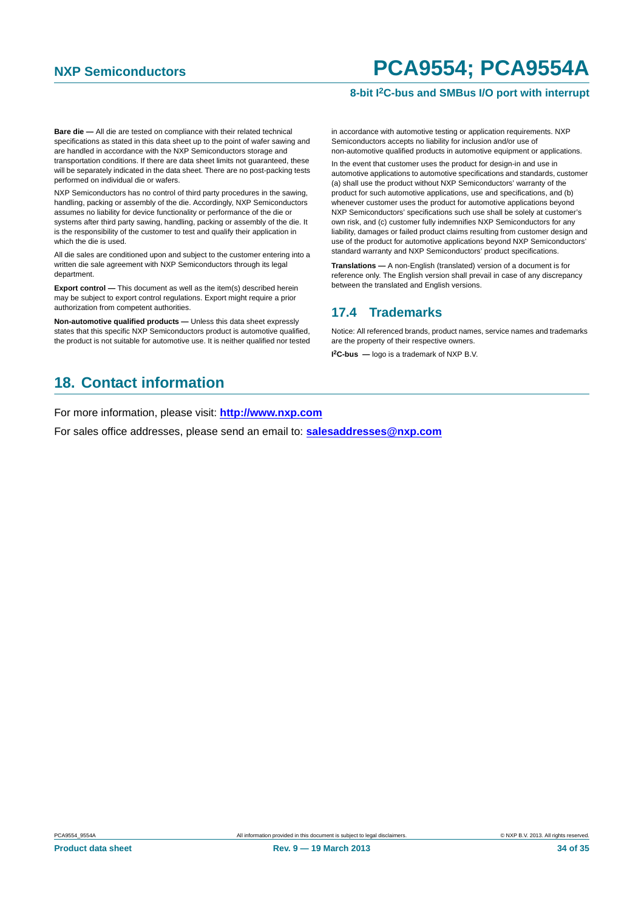#### **8-bit I2C-bus and SMBus I/O port with interrupt**

**Bare die —** All die are tested on compliance with their related technical specifications as stated in this data sheet up to the point of wafer sawing and are handled in accordance with the NXP Semiconductors storage and transportation conditions. If there are data sheet limits not guaranteed, these will be separately indicated in the data sheet. There are no post-packing tests performed on individual die or wafers.

NXP Semiconductors has no control of third party procedures in the sawing, handling, packing or assembly of the die. Accordingly, NXP Semiconductors assumes no liability for device functionality or performance of the die or systems after third party sawing, handling, packing or assembly of the die. It is the responsibility of the customer to test and qualify their application in which the die is used.

All die sales are conditioned upon and subject to the customer entering into a written die sale agreement with NXP Semiconductors through its legal department.

**Export control —** This document as well as the item(s) described herein may be subject to export control regulations. Export might require a prior authorization from competent authorities.

**Non-automotive qualified products —** Unless this data sheet expressly states that this specific NXP Semiconductors product is automotive qualified, the product is not suitable for automotive use. It is neither qualified nor tested

### <span id="page-33-1"></span>**18. Contact information**

For more information, please visit: **http://www.nxp.com**

For sales office addresses, please send an email to: **salesaddresses@nxp.com**

in accordance with automotive testing or application requirements. NXP Semiconductors accepts no liability for inclusion and/or use of non-automotive qualified products in automotive equipment or applications.

In the event that customer uses the product for design-in and use in automotive applications to automotive specifications and standards, customer (a) shall use the product without NXP Semiconductors' warranty of the product for such automotive applications, use and specifications, and (b) whenever customer uses the product for automotive applications beyond NXP Semiconductors' specifications such use shall be solely at customer's own risk, and (c) customer fully indemnifies NXP Semiconductors for any liability, damages or failed product claims resulting from customer design and use of the product for automotive applications beyond NXP Semiconductors' standard warranty and NXP Semiconductors' product specifications.

**Translations —** A non-English (translated) version of a document is for reference only. The English version shall prevail in case of any discrepancy between the translated and English versions.

#### <span id="page-33-0"></span>**17.4 Trademarks**

Notice: All referenced brands, product names, service names and trademarks are the property of their respective owners.

**I 2C-bus —** logo is a trademark of NXP B.V.